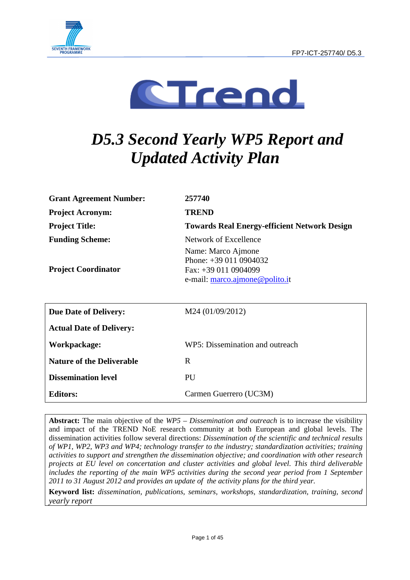



# *D5.3 Second Yearly WP5 Report and Updated Activity Plan*

| <b>Grant Agreement Number:</b>   | 257740                                                                                                 |
|----------------------------------|--------------------------------------------------------------------------------------------------------|
| <b>Project Acronym:</b>          | <b>TREND</b>                                                                                           |
| <b>Project Title:</b>            | <b>Towards Real Energy-efficient Network Design</b>                                                    |
| <b>Funding Scheme:</b>           | Network of Excellence                                                                                  |
| <b>Project Coordinator</b>       | Name: Marco Ajmone<br>Phone: +39 011 0904032<br>Fax: $+390110904099$<br>e-mail: marco.ajmone@polito.it |
| <b>Due Date of Delivery:</b>     | M24 (01/09/2012)                                                                                       |
| <b>Actual Date of Delivery:</b>  |                                                                                                        |
| Workpackage:                     | WP5: Dissemination and outreach                                                                        |
| <b>Nature of the Deliverable</b> | R                                                                                                      |
| <b>Dissemination level</b>       | PU                                                                                                     |

**Editors:** Carmen Guerrero (UC3M)

**Abstract:** The main objective of the *WP5 – Dissemination and outreach* is to increase the visibility and impact of the TREND NoE research community at both European and global levels. The dissemination activities follow several directions: *Dissemination of the scientific and technical results of WP1, WP2, WP3 and WP4; technology transfer to the industry; standardization activities; training activities to support and strengthen the dissemination objective; and coordination with other research projects at EU level on concertation and cluster activities and global level. This third deliverable*  includes the reporting of the main WP5 activities during the second year period from 1 September *2011 to 31 August 2012 and provides an update of the activity plans for the third year.*

**Keyword list:** *dissemination, publications, seminars, workshops, standardization, training, second yearly report*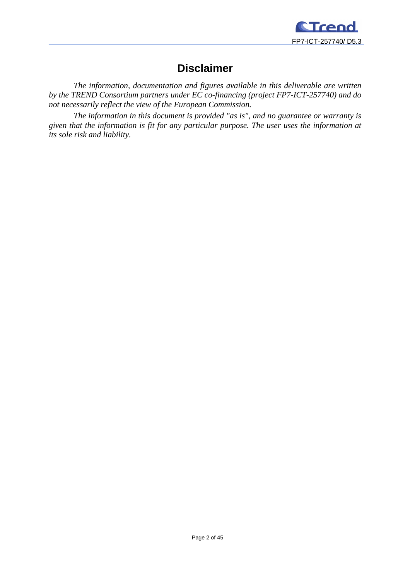

## **Disclaimer**

*The information, documentation and figures available in this deliverable are written by the TREND Consortium partners under EC co-financing (project FP7-ICT-257740) and do not necessarily reflect the view of the European Commission.* 

*The information in this document is provided "as is", and no guarantee or warranty is given that the information is fit for any particular purpose. The user uses the information at its sole risk and liability.*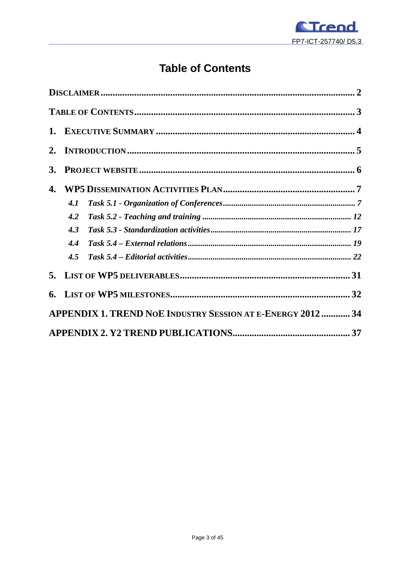

## **Table of Contents**

| 3. |                                                             |  |
|----|-------------------------------------------------------------|--|
| 4. |                                                             |  |
|    | 4.1                                                         |  |
|    | 4.2                                                         |  |
|    | 4.3                                                         |  |
|    | 4.4                                                         |  |
|    | 4.5                                                         |  |
|    |                                                             |  |
|    |                                                             |  |
|    | APPENDIX 1. TREND NOE INDUSTRY SESSION AT E-ENERGY 2012  34 |  |
|    |                                                             |  |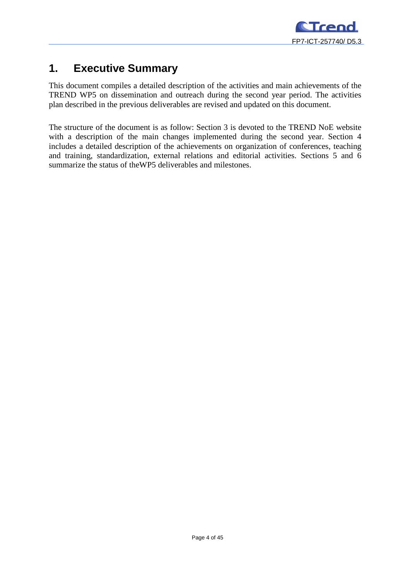

## **1. Executive Summary**

This document compiles a detailed description of the activities and main achievements of the TREND WP5 on dissemination and outreach during the second year period. The activities plan described in the previous deliverables are revised and updated on this document.

The structure of the document is as follow: Section 3 is devoted to the TREND NoE website with a description of the main changes implemented during the second year. Section 4 includes a detailed description of the achievements on organization of conferences, teaching and training, standardization, external relations and editorial activities. Sections 5 and 6 summarize the status of theWP5 deliverables and milestones.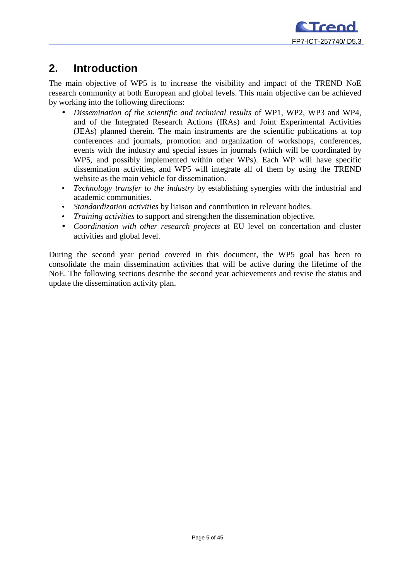

## **2. Introduction**

The main objective of WP5 is to increase the visibility and impact of the TREND NoE research community at both European and global levels. This main objective can be achieved by working into the following directions:

- *Dissemination of the scientific and technical results* of WP1, WP2, WP3 and WP4, and of the Integrated Research Actions (IRAs) and Joint Experimental Activities (JEAs) planned therein. The main instruments are the scientific publications at top conferences and journals, promotion and organization of workshops, conferences, events with the industry and special issues in journals (which will be coordinated by WP5, and possibly implemented within other WPs). Each WP will have specific dissemination activities, and WP5 will integrate all of them by using the TREND website as the main vehicle for dissemination.
- *Technology transfer to the industry* by establishing synergies with the industrial and academic communities.
- *Standardization activities* by liaison and contribution in relevant bodies.
- *Training activities* to support and strengthen the dissemination objective.
- *Coordination with other research projects* at EU level on concertation and cluster activities and global level.

During the second year period covered in this document, the WP5 goal has been to consolidate the main dissemination activities that will be active during the lifetime of the NoE. The following sections describe the second year achievements and revise the status and update the dissemination activity plan.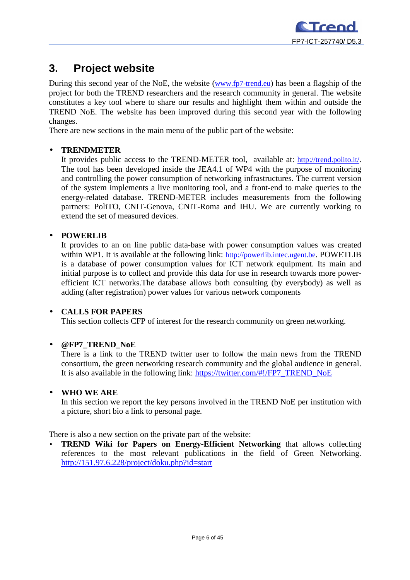

## **3. Project website**

During this second year of the NoE, the website (www.fp7-trend.eu) has been a flagship of the project for both the TREND researchers and the research community in general. The website constitutes a key tool where to share our results and highlight them within and outside the TREND NoE. The website has been improved during this second year with the following changes.

There are new sections in the main menu of the public part of the website:

## • **TRENDMETER**

It provides public access to the TREND-METER tool, available at: http://trend.polito.it/. The tool has been developed inside the JEA4.1 of WP4 with the purpose of monitoring and controlling the power consumption of networking infrastructures. The current version of the system implements a live monitoring tool, and a front-end to make queries to the energy-related database. TREND-METER includes measurements from the following partners: PoliTO, CNIT-Genova, CNIT-Roma and IHU. We are currently working to extend the set of measured devices.

## • **POWERLIB**

It provides to an on line public data-base with power consumption values was created within WP1. It is available at the following link: http://powerlib.intec.ugent.be. POWETLIB is a database of power consumption values for ICT network equipment. Its main and initial purpose is to collect and provide this data for use in research towards more powerefficient ICT networks.The database allows both consulting (by everybody) as well as adding (after registration) power values for various network components

## • **CALLS FOR PAPERS**

This section collects CFP of interest for the research community on green networking.

## • **@FP7\_TREND\_NoE**

There is a link to the TREND twitter user to follow the main news from the TREND consortium, the green networking research community and the global audience in general. It is also available in the following link: https://twitter.com/#!/FP7\_TREND\_NoE

## • **WHO WE ARE**

In this section we report the key persons involved in the TREND NoE per institution with a picture, short bio a link to personal page.

There is also a new section on the private part of the website:

**TREND Wiki for Papers on Energy-Efficient Networking that allows collecting** references to the most relevant publications in the field of Green Networking. http://151.97.6.228/project/doku.php?id=start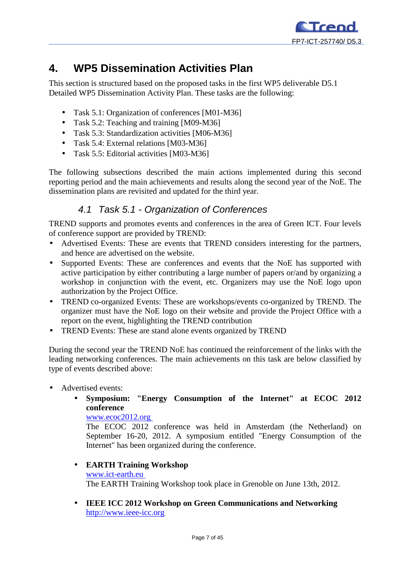

## **4. WP5 Dissemination Activities Plan**

This section is structured based on the proposed tasks in the first WP5 deliverable D5.1 Detailed WP5 Dissemination Activity Plan. These tasks are the following:

- Task 5.1: Organization of conferences [M01-M36]
- Task 5.2: Teaching and training [M09-M36]
- Task 5.3: Standardization activities [M06-M36]
- Task 5.4: External relations [M03-M36]
- Task 5.5: Editorial activities [M03-M36]

The following subsections described the main actions implemented during this second reporting period and the main achievements and results along the second year of the NoE. The dissemination plans are revisited and updated for the third year.

## 4.1 Task 5.1 - Organization of Conferences

TREND supports and promotes events and conferences in the area of Green ICT. Four levels of conference support are provided by TREND:

- Advertised Events: These are events that TREND considers interesting for the partners, and hence are advertised on the website.
- Supported Events: These are conferences and events that the NoE has supported with active participation by either contributing a large number of papers or/and by organizing a workshop in conjunction with the event, etc. Organizers may use the NoE logo upon authorization by the Project Office.
- TREND co-organized Events: These are workshops/events co-organized by TREND. The organizer must have the NoE logo on their website and provide the Project Office with a report on the event, highlighting the TREND contribution
- TREND Events: These are stand alone events organized by TREND

During the second year the TREND NoE has continued the reinforcement of the links with the leading networking conferences. The main achievements on this task are below classified by type of events described above:

- Advertised events:
	- **Symposium: "Energy Consumption of the Internet" at ECOC 2012 conference**

www.ecoc2012.org

The ECOC 2012 conference was held in Amsterdam (the Netherland) on September 16-20, 2012. A symposium entitled "Energy Consumption of the Internet" has been organized during the conference.

- **EARTH Training Workshop**  www.ict-earth.eu The EARTH Training Workshop took place in Grenoble on June 13th, 2012.
- **IEEE ICC 2012 Workshop on Green Communications and Networking**  http://www.ieee-icc.org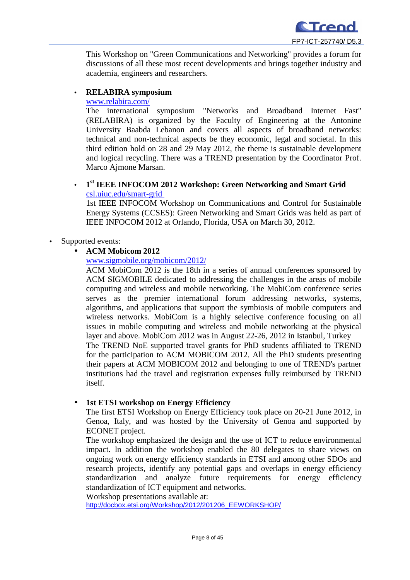

This Workshop on "Green Communications and Networking" provides a forum for discussions of all these most recent developments and brings together industry and academia, engineers and researchers.

### • **RELABIRA symposium**

#### www.relabira.com/

The international symposium "Networks and Broadband Internet Fast" (RELABIRA) is organized by the Faculty of Engineering at the Antonine University Baabda Lebanon and covers all aspects of broadband networks: technical and non-technical aspects be they economic, legal and societal. In this third edition hold on 28 and 29 May 2012, the theme is sustainable development and logical recycling. There was a TREND presentation by the Coordinator Prof. Marco Ajmone Marsan.

## • **1 st IEEE INFOCOM 2012 Workshop: Green Networking and Smart Grid** csl.uiuc.edu/smart-grid

1st IEEE INFOCOM Workshop on Communications and Control for Sustainable Energy Systems (CCSES): Green Networking and Smart Grids was held as part of IEEE INFOCOM 2012 at Orlando, Florida, USA on March 30, 2012.

## Supported events:

itself.

### • **ACM Mobicom 2012**

### www.sigmobile.org/mobicom/2012/

ACM MobiCom 2012 is the 18th in a series of annual conferences sponsored by ACM SIGMOBILE dedicated to addressing the challenges in the areas of mobile computing and wireless and mobile networking. The MobiCom conference series serves as the premier international forum addressing networks, systems, algorithms, and applications that support the symbiosis of mobile computers and wireless networks. MobiCom is a highly selective conference focusing on all issues in mobile computing and wireless and mobile networking at the physical layer and above. MobiCom 2012 was in August 22-26, 2012 in Istanbul, Turkey The TREND NoE supported travel grants for PhD students affiliated to TREND for the participation to ACM MOBICOM 2012. All the PhD students presenting their papers at ACM MOBICOM 2012 and belonging to one of TREND's partner institutions had the travel and registration expenses fully reimbursed by TREND

## • **1st ETSI workshop on Energy Efficiency**

The first ETSI Workshop on Energy Efficiency took place on 20-21 June 2012, in Genoa, Italy, and was hosted by the University of Genoa and supported by ECONET project.

The workshop emphasized the design and the use of ICT to reduce environmental impact. In addition the workshop enabled the 80 delegates to share views on ongoing work on energy efficiency standards in ETSI and among other SDOs and research projects, identify any potential gaps and overlaps in energy efficiency standardization and analyze future requirements for energy efficiency standardization of ICT equipment and networks.

Workshop presentations available at: http://docbox.etsi.org/Workshop/2012/201206\_EEWORKSHOP/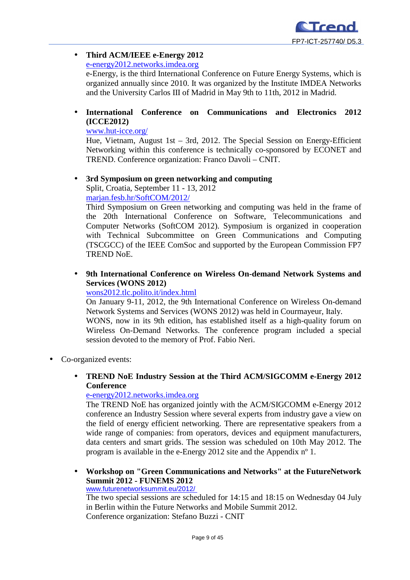

## • **Third ACM/IEEE e-Energy 2012**

e-energy2012.networks.imdea.org

e-Energy, is the third International Conference on Future Energy Systems, which is organized annually since 2010. It was organized by the Institute IMDEA Networks and the University Carlos III of Madrid in May 9th to 11th, 2012 in Madrid.

• **International Conference on Communications and Electronics 2012 (ICCE2012)** 

## www.hut-icce.org/

Hue, Vietnam, August 1st – 3rd, 2012. The Special Session on Energy-Efficient Networking within this conference is technically co-sponsored by ECONET and TREND. Conference organization: Franco Davoli – CNIT.

• **3rd Symposium on green networking and computing**  Split, Croatia, September 11 - 13, 2012 marjan.fesb.hr/SoftCOM/2012/

Third Symposium on Green networking and computing was held in the frame of the 20th International Conference on Software, Telecommunications and Computer Networks (SoftCOM 2012). Symposium is organized in cooperation with Technical Subcommittee on Green Communications and Computing (TSCGCC) of the IEEE ComSoc and supported by the European Commission FP7 TREND NoE.

• **9th International Conference on Wireless On-demand Network Systems and Services (WONS 2012)** 

wons2012.tlc.polito.it/index.html

On January 9-11, 2012, the 9th International Conference on Wireless On-demand Network Systems and Services (WONS 2012) was held in Courmayeur, Italy.

WONS, now in its 9th edition, has established itself as a high-quality forum on Wireless On-Demand Networks. The conference program included a special session devoted to the memory of Prof. Fabio Neri.

- Co-organized events:
	- **TREND NoE Industry Session at the Third ACM/SIGCOMM e-Energy 2012 Conference**

## e-energy2012.networks.imdea.org

The TREND NoE has organized jointly with the ACM/SIGCOMM e-Energy 2012 conference an Industry Session where several experts from industry gave a view on the field of energy efficient networking. There are representative speakers from a wide range of companies: from operators, devices and equipment manufacturers, data centers and smart grids. The session was scheduled on 10th May 2012. The program is available in the e-Energy 2012 site and the Appendix nº 1.

• **Workshop on "Green Communications and Networks" at the FutureNetwork Summit 2012 - FUNEMS 2012**  www.futurenetworksummit.eu/2012/

The two special sessions are scheduled for 14:15 and 18:15 on Wednesday 04 July in Berlin within the Future Networks and Mobile Summit 2012. Conference organization: Stefano Buzzi - CNIT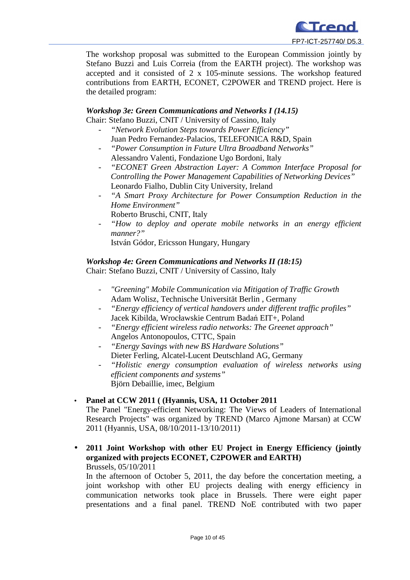

The workshop proposal was submitted to the European Commission jointly by Stefano Buzzi and Luis Correia (from the EARTH project). The workshop was accepted and it consisted of 2 x 105-minute sessions. The workshop featured contributions from EARTH, ECONET, C2POWER and TREND project. Here is the detailed program:

## *Workshop 3e: Green Communications and Networks I (14.15)*

Chair: Stefano Buzzi, CNIT / University of Cassino, Italy

- *"Network Evolution Steps towards Power Efficiency"*  Juan Pedro Fernandez-Palacios, TELEFONICA R&D, Spain
- *"Power Consumption in Future Ultra Broadband Networks"*  Alessandro Valenti, Fondazione Ugo Bordoni, Italy
- *"ECONET Green Abstraction Layer: A Common Interface Proposal for Controlling the Power Management Capabilities of Networking Devices"*  Leonardo Fialho, Dublin City University, Ireland
- *"A Smart Proxy Architecture for Power Consumption Reduction in the Home Environment"* 
	- Roberto Bruschi, CNIT, Italy
- *"How to deploy and operate mobile networks in an energy efficient manner?"* 
	- István Gódor, Ericsson Hungary, Hungary

### *Workshop 4e: Green Communications and Networks II (18:15)*

Chair: Stefano Buzzi, CNIT / University of Cassino, Italy

- *"Greening" Mobile Communication via Mitigation of Traffic Growth*  Adam Wolisz, Technische Universität Berlin , Germany
- *"Energy efficiency of vertical handovers under different traffic profiles"*  Jacek Kibilda, Wrocławskie Centrum Badań EIT+, Poland
- *"Energy efficient wireless radio networks: The Greenet approach"*  Angelos Antonopoulos, CTTC, Spain
- *"Energy Savings with new BS Hardware Solutions"*  Dieter Ferling, Alcatel-Lucent Deutschland AG, Germany
- *"Holistic energy consumption evaluation of wireless networks using efficient components and systems"*  Björn Debaillie, imec, Belgium

## • **Panel at CCW 2011 ( (Hyannis, USA, 11 October 2011**

The Panel "Energy-efficient Networking: The Views of Leaders of International Research Projects" was organized by TREND (Marco Ajmone Marsan) at CCW 2011 (Hyannis, USA, 08/10/2011-13/10/2011)

• **2011 Joint Workshop with other EU Project in Energy Efficiency (jointly organized with projects ECONET, C2POWER and EARTH)**  Brussels, 05/10/2011

In the afternoon of October 5, 2011, the day before the concertation meeting, a joint workshop with other EU projects dealing with energy efficiency in communication networks took place in Brussels. There were eight paper presentations and a final panel. TREND NoE contributed with two paper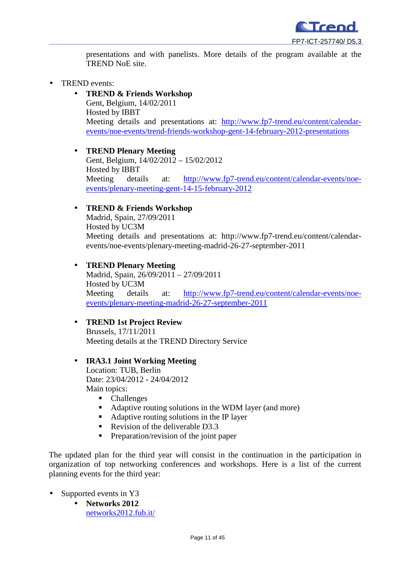

presentations and with panelists. More details of the program available at the TREND NoE site.

- TREND events:
	- **TREND & Friends Workshop**  Gent, Belgium, 14/02/2011 Hosted by IBBT Meeting details and presentations at: http://www.fp7-trend.eu/content/calendarevents/noe-events/trend-friends-workshop-gent-14-february-2012-presentations
	- **TREND Plenary Meeting**  Gent, Belgium, 14/02/2012 – 15/02/2012 Hosted by IBBT Meeting details at: http://www.fp7-trend.eu/content/calendar-events/noeevents/plenary-meeting-gent-14-15-february-2012

## • **TREND & Friends Workshop**

Madrid, Spain, 27/09/2011 Hosted by UC3M Meeting details and presentations at: http://www.fp7-trend.eu/content/calendarevents/noe-events/plenary-meeting-madrid-26-27-september-2011

## • **TREND Plenary Meeting**

Madrid, Spain, 26/09/2011 – 27/09/2011 Hosted by UC3M Meeting details at: http://www.fp7-trend.eu/content/calendar-events/noeevents/plenary-meeting-madrid-26-27-september-2011

#### • **TREND 1st Project Review**  Brussels, 17/11/2011 Meeting details at the TREND Directory Service

## • **IRA3.1 Joint Working Meeting**

Location: TUB, Berlin Date: 23/04/2012 - 24/04/2012 Main topics:

- Challenges
- Adaptive routing solutions in the WDM layer (and more)
- Adaptive routing solutions in the IP layer
- Revision of the deliverable D3.3
- **Preparation/revision of the joint paper**

The updated plan for the third year will consist in the continuation in the participation in organization of top networking conferences and workshops. Here is a list of the current planning events for the third year:

- Supported events in Y3
	- **Networks 2012** networks2012.fub.it/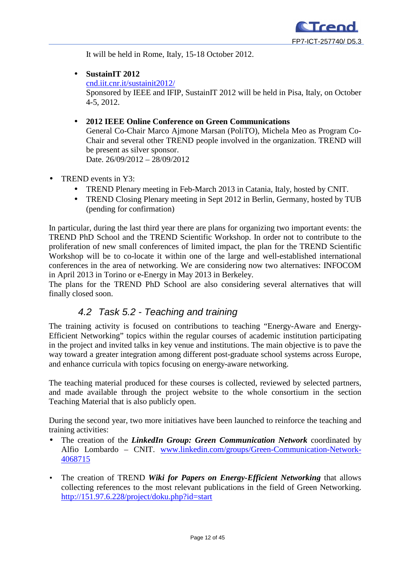

It will be held in Rome, Italy, 15-18 October 2012.

- **SustainIT 2012**  cnd.iit.cnr.it/sustainit2012/ Sponsored by IEEE and IFIP, SustainIT 2012 will be held in Pisa, Italy, on October 4-5, 2012.
- **2012 IEEE Online Conference on Green Communications** General Co-Chair Marco Ajmone Marsan (PoliTO), Michela Meo as Program Co-Chair and several other TREND people involved in the organization. TREND will be present as silver sponsor. Date. 26/09/2012 – 28/09/2012
- TREND events in Y3:
	- TREND Plenary meeting in Feb-March 2013 in Catania, Italy, hosted by CNIT.
	- TREND Closing Plenary meeting in Sept 2012 in Berlin, Germany, hosted by TUB (pending for confirmation)

In particular, during the last third year there are plans for organizing two important events: the TREND PhD School and the TREND Scientific Workshop. In order not to contribute to the proliferation of new small conferences of limited impact, the plan for the TREND Scientific Workshop will be to co-locate it within one of the large and well-established international conferences in the area of networking. We are considering now two alternatives: INFOCOM in April 2013 in Torino or e-Energy in May 2013 in Berkeley.

The plans for the TREND PhD School are also considering several alternatives that will finally closed soon.

## 4.2 Task 5.2 - Teaching and training

The training activity is focused on contributions to teaching "Energy-Aware and Energy-Efficient Networking" topics within the regular courses of academic institution participating in the project and invited talks in key venue and institutions. The main objective is to pave the way toward a greater integration among different post-graduate school systems across Europe, and enhance curricula with topics focusing on energy-aware networking.

The teaching material produced for these courses is collected, reviewed by selected partners, and made available through the project website to the whole consortium in the section Teaching Material that is also publicly open.

During the second year, two more initiatives have been launched to reinforce the teaching and training activities:

- The creation of the *LinkedIn Group: Green Communication Network* coordinated by Alfio Lombardo – CNIT. www.linkedin.com/groups/Green-Communication-Network-4068715
- The creation of TREND *Wiki for Papers on Energy-Efficient Networking* that allows collecting references to the most relevant publications in the field of Green Networking. http://151.97.6.228/project/doku.php?id=start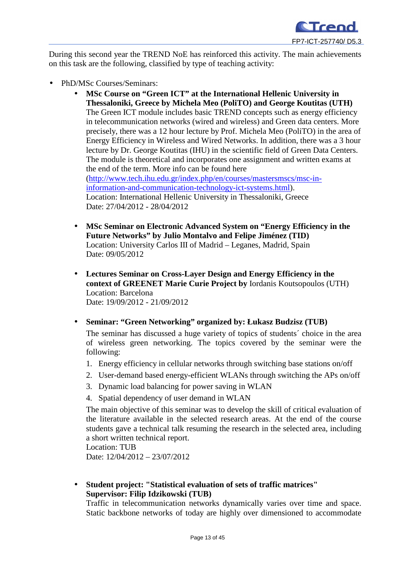

During this second year the TREND NoE has reinforced this activity. The main achievements on this task are the following, classified by type of teaching activity:

- PhD/MSc Courses/Seminars:
	- **MSc Course on "Green ICT" at the International Hellenic University in Thessaloniki, Greece by Michela Meo (PoliTO) and George Koutitas (UTH)**  The Green ICT module includes basic TREND concepts such as energy efficiency in telecommunication networks (wired and wireless) and Green data centers. More precisely, there was a 12 hour lecture by Prof. Michela Meo (PoliTO) in the area of Energy Efficiency in Wireless and Wired Networks. In addition, there was a 3 hour lecture by Dr. George Koutitas (IHU) in the scientific field of Green Data Centers. The module is theoretical and incorporates one assignment and written exams at the end of the term. More info can be found here (http://www.tech.ihu.edu.gr/index.php/en/courses/mastersmscs/msc-ininformation-and-communication-technology-ict-systems.html). Location: International Hellenic University in Thessaloniki, Greece Date: 27/04/2012 - 28/04/2012
	- **MSc Seminar on Electronic Advanced System on "Energy Efficiency in the Future Networks" by Julio Montalvo and Felipe Jiménez (TID)** Location: University Carlos III of Madrid – Leganes, Madrid, Spain Date: 09/05/2012
	- **Lectures Seminar on Cross-Layer Design and Energy Efficiency in the context of GREENET Marie Curie Project by** Iordanis Koutsopoulos (UTH) Location: Barcelona Date: 19/09/2012 - 21/09/2012
	- **Seminar: "Green Networking" organized by: Łukasz Budzisz (TUB)**

The seminar has discussed a huge variety of topics of students´ choice in the area of wireless green networking. The topics covered by the seminar were the following:

- 1. Energy efficiency in cellular networks through switching base stations on/off
- 2. User-demand based energy-efficient WLANs through switching the APs on/off
- 3. Dynamic load balancing for power saving in WLAN
- 4. Spatial dependency of user demand in WLAN

The main objective of this seminar was to develop the skill of critical evaluation of the literature available in the selected research areas. At the end of the course students gave a technical talk resuming the research in the selected area, including a short written technical report.

Location: TUB

Date: 12/04/2012 – 23/07/2012

• **Student project: "Statistical evaluation of sets of traffic matrices" Supervisor: Filip Idzikowski (TUB)** 

Traffic in telecommunication networks dynamically varies over time and space. Static backbone networks of today are highly over dimensioned to accommodate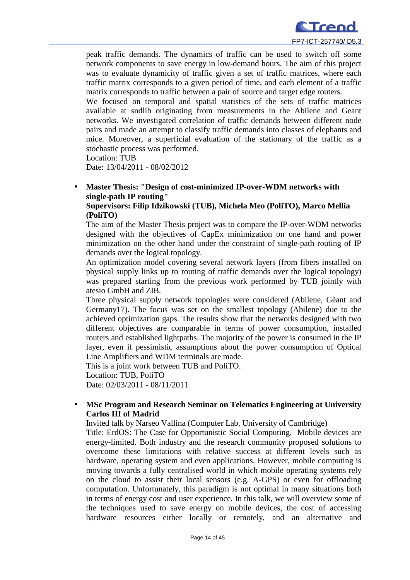

peak traffic demands. The dynamics of traffic can be used to switch off some network components to save energy in low-demand hours. The aim of this project was to evaluate dynamicity of traffic given a set of traffic matrices, where each traffic matrix corresponds to a given period of time, and each element of a traffic matrix corresponds to traffic between a pair of source and target edge routers.

We focused on temporal and spatial statistics of the sets of traffic matrices available at sndlib originating from measurements in the Abilene and Geant networks. We investigated correlation of traffic demands between different node pairs and made an attempt to classify traffic demands into classes of elephants and mice. Moreover, a superficial evaluation of the stationary of the traffic as a stochastic process was performed.

Location: TUB

Date: 13/04/2011 - 08/02/2012

• **Master Thesis: "Design of cost-minimized IP-over-WDM networks with single-path IP routing"** 

### **Supervisors: Filip Idzikowski (TUB), Michela Meo (PoliTO), Marco Mellia (PoliTO)**

The aim of the Master Thesis project was to compare the IP-over-WDM networks designed with the objectives of CapEx minimization on one hand and power minimization on the other hand under the constraint of single-path routing of IP demands over the logical topology.

An optimization model covering several network layers (from fibers installed on physical supply links up to routing of traffic demands over the logical topology) was prepared starting from the previous work performed by TUB jointly with atesio GmbH and ZIB.

Three physical supply network topologies were considered (Abilene, Gèant and Germany17). The focus was set on the smallest topology (Abilene) due to the achieved optimization gaps. The results show that the networks designed with two different objectives are comparable in terms of power consumption, installed routers and established lightpaths. The majority of the power is consumed in the IP layer, even if pessimistic assumptions about the power consumption of Optical Line Amplifiers and WDM terminals are made.

This is a joint work between TUB and PoliTO. Location: TUB, PoliTO Date: 02/03/2011 - 08/11/2011

## • **MSc Program and Research Seminar on Telematics Engineering at University Carlos III of Madrid**

Invited talk by Narseo Vallina (Computer Lab, University of Cambridge)

Title: ErdOS: The Case for Opportunistic Social Computing. Mobile devices are energy-limited. Both industry and the research community proposed solutions to overcome these limitations with relative success at different levels such as hardware, operating system and even applications. However, mobile computing is moving towards a fully centralised world in which mobile operating systems rely on the cloud to assist their local sensors (e.g. A-GPS) or even for offloading computation. Unfortunately, this paradigm is not optimal in many situations both in terms of energy cost and user experience. In this talk, we will overview some of the techniques used to save energy on mobile devices, the cost of accessing hardware resources either locally or remotely, and an alternative and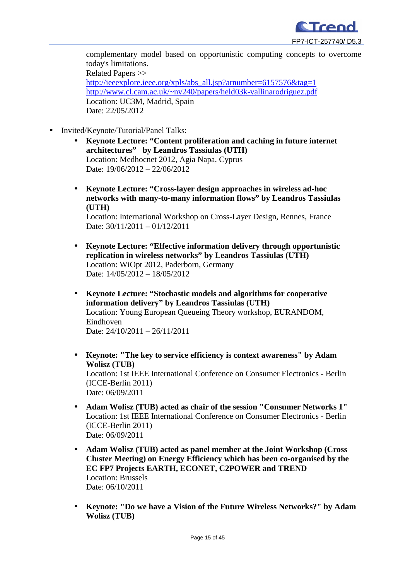

complementary model based on opportunistic computing concepts to overcome today's limitations.

Related Papers >> http://ieeexplore.ieee.org/xpls/abs\_all.jsp?arnumber=6157576&tag=1 http://www.cl.cam.ac.uk/~nv240/papers/held03k-vallinarodriguez.pdf Location: UC3M, Madrid, Spain Date: 22/05/2012

- Invited/Keynote/Tutorial/Panel Talks:
	- **Keynote Lecture: "Content proliferation and caching in future internet architectures" by Leandros Tassiulas (UTH)** Location: Medhocnet 2012, Agia Napa, Cyprus Date: 19/06/2012 – 22/06/2012
	- **Keynote Lecture: "Cross-layer design approaches in wireless ad-hoc networks with many-to-many information flows" by Leandros Tassiulas (UTH)** Location: International Workshop on Cross-Layer Design, Rennes, France

Date: 30/11/2011 – 01/12/2011

- **Keynote Lecture: "Effective information delivery through opportunistic replication in wireless networks" by Leandros Tassiulas (UTH)** Location: WiOpt 2012, Paderborn, Germany Date: 14/05/2012 – 18/05/2012
- **Keynote Lecture: "Stochastic models and algorithms for cooperative information delivery" by Leandros Tassiulas (UTH)** Location: Young European Queueing Theory workshop, EURANDOM, Eindhoven Date: 24/10/2011 – 26/11/2011
- **Keynote: "The key to service efficiency is context awareness" by Adam Wolisz (TUB)**  Location: 1st IEEE International Conference on Consumer Electronics - Berlin (ICCE-Berlin 2011) Date: 06/09/2011
- **Adam Wolisz (TUB) acted as chair of the session "Consumer Networks 1"**  Location: 1st IEEE International Conference on Consumer Electronics - Berlin (ICCE-Berlin 2011) Date: 06/09/2011
- **Adam Wolisz (TUB) acted as panel member at the Joint Workshop (Cross Cluster Meeting) on Energy Efficiency which has been co-organised by the EC FP7 Projects EARTH, ECONET, C2POWER and TREND** Location: Brussels Date: 06/10/2011
- **Keynote: "Do we have a Vision of the Future Wireless Networks?" by Adam Wolisz (TUB)**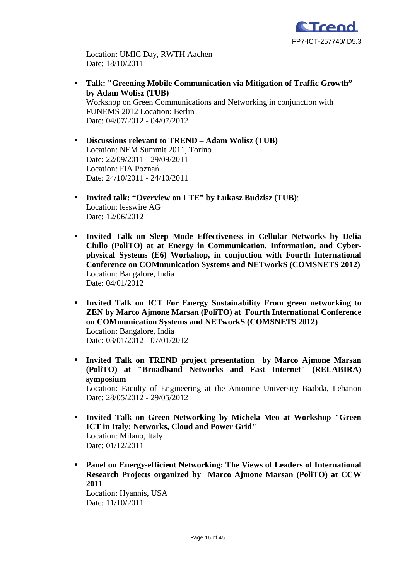

Location: UMIC Day, RWTH Aachen Date: 18/10/2011

- **Talk: "Greening Mobile Communication via Mitigation of Traffic Growth" by Adam Wolisz (TUB)** Workshop on Green Communications and Networking in conjunction with FUNEMS 2012 Location: Berlin Date: 04/07/2012 - 04/07/2012
- **Discussions relevant to TREND Adam Wolisz (TUB)**  Location: NEM Summit 2011, Torino Date: 22/09/2011 - 29/09/2011 Location: FIA Poznań Date: 24/10/2011 - 24/10/2011
- **Invited talk: "Overview on LTE" by Łukasz Budzisz (TUB)**: Location: lesswire AG Date: 12/06/2012
- **Invited Talk on Sleep Mode Effectiveness in Cellular Networks by Delia Ciullo (PoliTO) at at Energy in Communication, Information, and Cyberphysical Systems (E6) Workshop, in conjuction with Fourth International Conference on COMmunication Systems and NETworkS (COMSNETS 2012)**  Location: Bangalore, India Date: 04/01/2012
- **Invited Talk on ICT For Energy Sustainability From green networking to ZEN by Marco Ajmone Marsan (PoliTO) at Fourth International Conference on COMmunication Systems and NETworkS (COMSNETS 2012)**  Location: Bangalore, India Date: 03/01/2012 - 07/01/2012
- **Invited Talk on TREND project presentation by Marco Ajmone Marsan (PoliTO) at "Broadband Networks and Fast Internet" (RELABIRA) symposium**  Location: Faculty of Engineering at the Antonine University Baabda, Lebanon Date: 28/05/2012 - 29/05/2012
- **Invited Talk on Green Networking by Michela Meo at Workshop "Green ICT in Italy: Networks, Cloud and Power Grid"**  Location: Milano, Italy Date: 01/12/2011
- **Panel on Energy-efficient Networking: The Views of Leaders of International Research Projects organized by Marco Ajmone Marsan (PoliTO) at CCW 2011**  Location: Hyannis, USA Date: 11/10/2011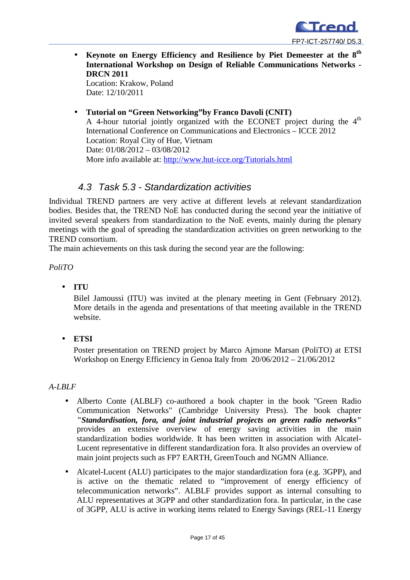

• **Keynote on Energy Efficiency and Resilience by Piet Demeester at the 8th International Workshop on Design of Reliable Communications Networks - DRCN 2011** 

Location: Krakow, Poland Date: 12/10/2011

• **Tutorial on "Green Networking"by Franco Davoli (CNIT)**  A 4-hour tutorial jointly organized with the ECONET project during the  $4<sup>th</sup>$ International Conference on Communications and Electronics – ICCE 2012 Location: Royal City of Hue, Vietnam Date: 01/08/2012 – 03/08/2012 More info available at: http://www.hut-icce.org/Tutorials.html

## 4.3 Task 5.3 - Standardization activities

Individual TREND partners are very active at different levels at relevant standardization bodies. Besides that, the TREND NoE has conducted during the second year the initiative of invited several speakers from standardization to the NoE events, mainly during the plenary meetings with the goal of spreading the standardization activities on green networking to the TREND consortium.

The main achievements on this task during the second year are the following:

*PoliTO* 

• **ITU**

Bilel Jamoussi (ITU) was invited at the plenary meeting in Gent (February 2012). More details in the agenda and presentations of that meeting available in the TREND website.

• **ETSI** 

Poster presentation on TREND project by Marco Ajmone Marsan (PoliTO) at ETSI Workshop on Energy Efficiency in Genoa Italy from 20/06/2012 – 21/06/2012

## *A-LBLF*

- Alberto Conte (ALBLF) co-authored a book chapter in the book "Green Radio Communication Networks" (Cambridge University Press). The book chapter *"Standardisation, fora, and joint industrial projects on green radio networks"* provides an extensive overview of energy saving activities in the main standardization bodies worldwide. It has been written in association with Alcatel-Lucent representative in different standardization fora. It also provides an overview of main joint projects such as FP7 EARTH, GreenTouch and NGMN Alliance.
- Alcatel-Lucent (ALU) participates to the major standardization fora (e.g. 3GPP), and is active on the thematic related to "improvement of energy efficiency of telecommunication networks". ALBLF provides support as internal consulting to ALU representatives at 3GPP and other standardization fora. In particular, in the case of 3GPP, ALU is active in working items related to Energy Savings (REL-11 Energy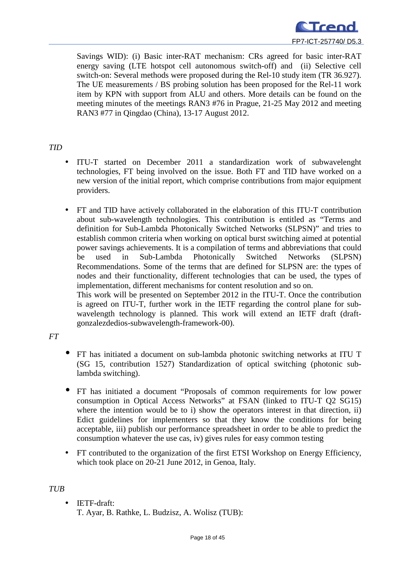

Savings WID): (i) Basic inter-RAT mechanism: CRs agreed for basic inter-RAT energy saving (LTE hotspot cell autonomous switch-off) and (ii) Selective cell switch-on: Several methods were proposed during the Rel-10 study item (TR 36.927). The UE measurements / BS probing solution has been proposed for the Rel-11 work item by KPN with support from ALU and others. More details can be found on the meeting minutes of the meetings RAN3 #76 in Prague, 21-25 May 2012 and meeting RAN3 #77 in Qingdao (China), 13-17 August 2012.

## *TID*

- • ITU-T started on December 2011 a standardization work of subwavelenght technologies, FT being involved on the issue. Both FT and TID have worked on a new version of the initial report, which comprise contributions from major equipment providers.
- FT and TID have actively collaborated in the elaboration of this ITU-T contribution about sub-wavelength technologies. This contribution is entitled as "Terms and definition for Sub-Lambda Photonically Switched Networks (SLPSN)" and tries to establish common criteria when working on optical burst switching aimed at potential power savings achievements. It is a compilation of terms and abbreviations that could be used in Sub-Lambda Photonically Switched Networks (SLPSN) Recommendations. Some of the terms that are defined for SLPSN are: the types of nodes and their functionality, different technologies that can be used, the types of implementation, different mechanisms for content resolution and so on. This work will be presented on September 2012 in the ITU-T. Once the contribution is agreed on ITU-T, further work in the IETF regarding the control plane for subwavelength technology is planned. This work will extend an IETF draft (draftgonzalezdedios-subwavelength-framework-00).

*FT*

- FT has initiated a document on sub-lambda photonic switching networks at ITU T (SG 15, contribution 1527) Standardization of optical switching (photonic sublambda switching).
- FT has initiated a document "Proposals of common requirements for low power consumption in Optical Access Networks" at FSAN (linked to ITU-T Q2 SG15) where the intention would be to i) show the operators interest in that direction, ii) Edict guidelines for implementers so that they know the conditions for being acceptable, iii) publish our performance spreadsheet in order to be able to predict the consumption whatever the use cas, iv) gives rules for easy common testing
- FT contributed to the organization of the first ETSI Workshop on Energy Efficiency, which took place on 20-21 June 2012, in Genoa, Italy.

*TUB*

• IETF-draft: T. Ayar, B. Rathke, L. Budzisz, A. Wolisz (TUB):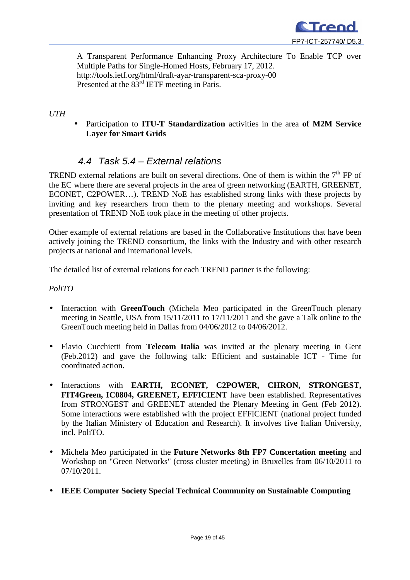

A Transparent Performance Enhancing Proxy Architecture To Enable TCP over Multiple Paths for Single-Homed Hosts, February 17, 2012. http://tools.ietf.org/html/draft-ayar-transparent-sca-proxy-00 Presented at the  $83<sup>rd</sup> IETF meeting in Paris.$ 

## *UTH*

• Participation to **ITU-T Standardization** activities in the area **of M2M Service Layer for Smart Grids** 

## 4.4 Task 5.4 – External relations

TREND external relations are built on several directions. One of them is within the  $7<sup>th</sup>$  FP of the EC where there are several projects in the area of green networking (EARTH, GREENET, ECONET, C2POWER…). TREND NoE has established strong links with these projects by inviting and key researchers from them to the plenary meeting and workshops. Several presentation of TREND NoE took place in the meeting of other projects.

Other example of external relations are based in the Collaborative Institutions that have been actively joining the TREND consortium, the links with the Industry and with other research projects at national and international levels.

The detailed list of external relations for each TREND partner is the following:

#### *PoliTO*

- Interaction with **GreenTouch** (Michela Meo participated in the GreenTouch plenary meeting in Seattle, USA from 15/11/2011 to 17/11/2011 and she gave a Talk online to the GreenTouch meeting held in Dallas from 04/06/2012 to 04/06/2012.
- Flavio Cucchietti from **Telecom Italia** was invited at the plenary meeting in Gent (Feb.2012) and gave the following talk: Efficient and sustainable ICT - Time for coordinated action.
- Interactions with **EARTH, ECONET, C2POWER, CHRON, STRONGEST, FIT4Green, IC0804, GREENET, EFFICIENT** have been established. Representatives from STRONGEST and GREENET attended the Plenary Meeting in Gent (Feb 2012). Some interactions were established with the project EFFICIENT (national project funded by the Italian Ministery of Education and Research). It involves five Italian University, incl. PoliTO.
- Michela Meo participated in the **Future Networks 8th FP7 Concertation meeting** and Workshop on "Green Networks" (cross cluster meeting) in Bruxelles from 06/10/2011 to 07/10/2011.
- **IEEE Computer Society Special Technical Community on Sustainable Computing**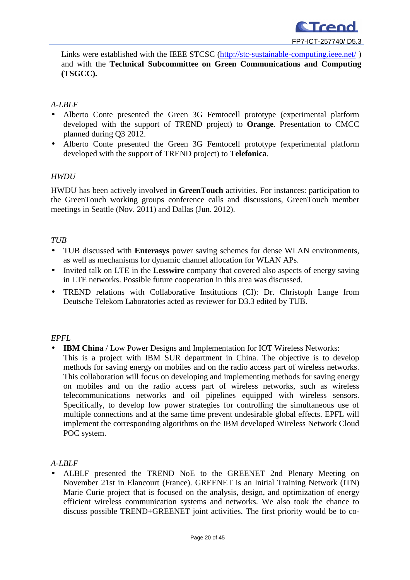

Links were established with the IEEE STCSC (http://stc-sustainable-computing.ieee.net/) and with the **Technical Subcommittee on Green Communications and Computing (TSGCC).** 

## *A-LBLF*

- Alberto Conte presented the Green 3G Femtocell prototype (experimental platform developed with the support of TREND project) to **Orange**. Presentation to CMCC planned during Q3 2012.
- Alberto Conte presented the Green 3G Femtocell prototype (experimental platform developed with the support of TREND project) to **Telefonica**.

#### *HWDU*

HWDU has been actively involved in **GreenTouch** activities. For instances: participation to the GreenTouch working groups conference calls and discussions, GreenTouch member meetings in Seattle (Nov. 2011) and Dallas (Jun. 2012).

### *TUB*

- TUB discussed with **Enterasys** power saving schemes for dense WLAN environments, as well as mechanisms for dynamic channel allocation for WLAN APs.
- Invited talk on LTE in the **Lesswire** company that covered also aspects of energy saving in LTE networks. Possible future cooperation in this area was discussed.
- TREND relations with Collaborative Institutions (CI): Dr. Christoph Lange from Deutsche Telekom Laboratories acted as reviewer for D3.3 edited by TUB.

#### *EPFL*

• **IBM China** / Low Power Designs and Implementation for IOT Wireless Networks: This is a project with IBM SUR department in China. The objective is to develop methods for saving energy on mobiles and on the radio access part of wireless networks. This collaboration will focus on developing and implementing methods for saving energy on mobiles and on the radio access part of wireless networks, such as wireless telecommunications networks and oil pipelines equipped with wireless sensors. Specifically, to develop low power strategies for controlling the simultaneous use of multiple connections and at the same time prevent undesirable global effects. EPFL will implement the corresponding algorithms on the IBM developed Wireless Network Cloud POC system.

## *A-LBLF*

• ALBLF presented the TREND NoE to the GREENET 2nd Plenary Meeting on November 21st in Elancourt (France). GREENET is an Initial Training Network (ITN) Marie Curie project that is focused on the analysis, design, and optimization of energy efficient wireless communication systems and networks. We also took the chance to discuss possible TREND+GREENET joint activities. The first priority would be to co-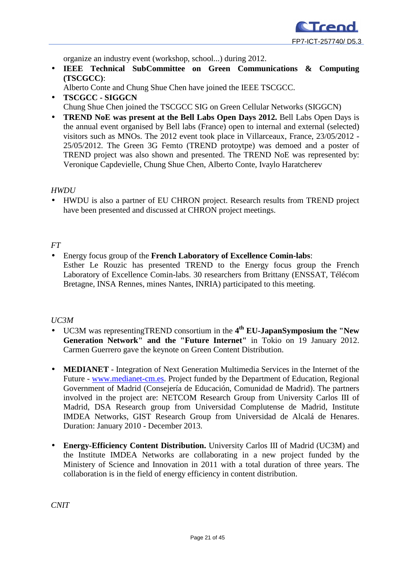

organize an industry event (workshop, school...) during 2012.

• **IEEE Technical SubCommittee on Green Communications & Computing (TSCGCC)**:

Alberto Conte and Chung Shue Chen have joined the IEEE TSCGCC.

- **TSCGCC SIGGCN** Chung Shue Chen joined the TSCGCC SIG on Green Cellular Networks (SIGGCN)
- **TREND NoE was present at the Bell Labs Open Days 2012.** Bell Labs Open Days is the annual event organised by Bell labs (France) open to internal and external (selected) visitors such as MNOs. The 2012 event took place in Villarceaux, France, 23/05/2012 - 25/05/2012. The Green 3G Femto (TREND protoytpe) was demoed and a poster of TREND project was also shown and presented. The TREND NoE was represented by: Veronique Capdevielle, Chung Shue Chen, Alberto Conte, Ivaylo Haratcherev

## *HWDU*

• HWDU is also a partner of EU CHRON project. Research results from TREND project have been presented and discussed at CHRON project meetings.

## *FT*

• Energy focus group of the **French Laboratory of Excellence Comin-labs**: Esther Le Rouzic has presented TREND to the Energy focus group the French Laboratory of Excellence Comin-labs. 30 researchers from Brittany (ENSSAT, Télécom Bretagne, INSA Rennes, mines Nantes, INRIA) participated to this meeting.

## *UC3M*

- UC3M was representingTREND consortium in the 4<sup>th</sup> EU-JapanSymposium the "New **Generation Network" and the "Future Internet"** in Tokio on 19 January 2012. Carmen Guerrero gave the keynote on Green Content Distribution.
- **MEDIANET** Integration of Next Generation Multimedia Services in the Internet of the Future - www.medianet-cm.es. Project funded by the Department of Education, Regional Government of Madrid (Consejería de Educación, Comunidad de Madrid). The partners involved in the project are: NETCOM Research Group from University Carlos III of Madrid, DSA Research group from Universidad Complutense de Madrid, Institute IMDEA Networks, GIST Research Group from Universidad de Alcalá de Henares. Duration: January 2010 - December 2013.
- **Energy-Efficiency Content Distribution.** University Carlos III of Madrid (UC3M) and the Institute IMDEA Networks are collaborating in a new project funded by the Ministery of Science and Innovation in 2011 with a total duration of three years. The collaboration is in the field of energy efficiency in content distribution.

*CNIT*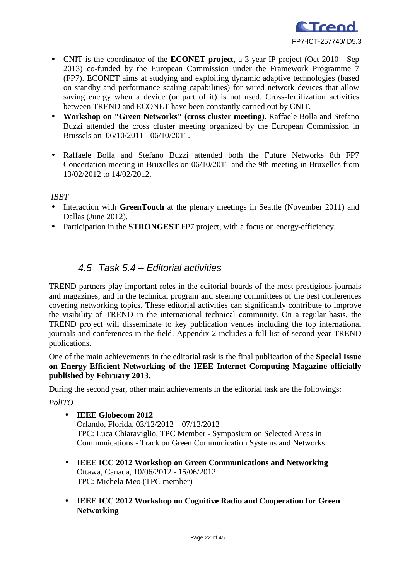

- CNIT is the coordinator of the **ECONET project**, a 3-year IP project (Oct 2010 Sep 2013) co-funded by the European Commission under the Framework Programme 7 (FP7). ECONET aims at studying and exploiting dynamic adaptive technologies (based on standby and performance scaling capabilities) for wired network devices that allow saving energy when a device (or part of it) is not used. Cross-fertilization activities between TREND and ECONET have been constantly carried out by CNIT.
- **Workshop on "Green Networks" (cross cluster meeting).** Raffaele Bolla and Stefano Buzzi attended the cross cluster meeting organized by the European Commission in Brussels on 06/10/2011 - 06/10/2011.
- Raffaele Bolla and Stefano Buzzi attended both the Future Networks 8th FP7 Concertation meeting in Bruxelles on 06/10/2011 and the 9th meeting in Bruxelles from 13/02/2012 to 14/02/2012.

### *IBBT*

- Interaction with **GreenTouch** at the plenary meetings in Seattle (November 2011) and Dallas (June 2012).
- Participation in the **STRONGEST** FP7 project, with a focus on energy-efficiency.

## 4.5 Task 5.4 – Editorial activities

TREND partners play important roles in the editorial boards of the most prestigious journals and magazines, and in the technical program and steering committees of the best conferences covering networking topics. These editorial activities can significantly contribute to improve the visibility of TREND in the international technical community. On a regular basis, the TREND project will disseminate to key publication venues including the top international journals and conferences in the field. Appendix 2 includes a full list of second year TREND publications.

One of the main achievements in the editorial task is the final publication of the **Special Issue on Energy-Efficient Networking of the IEEE Internet Computing Magazine officially published by February 2013.** 

During the second year, other main achievements in the editorial task are the followings:

*PoliTO* 

## • **IEEE Globecom 2012**

Orlando, Florida, 03/12/2012 – 07/12/2012 TPC: Luca Chiaraviglio, TPC Member - Symposium on Selected Areas in Communications - Track on Green Communication Systems and Networks

- **IEEE ICC 2012 Workshop on Green Communications and Networking** Ottawa, Canada, 10/06/2012 - 15/06/2012 TPC: Michela Meo (TPC member)
- **IEEE ICC 2012 Workshop on Cognitive Radio and Cooperation for Green Networking**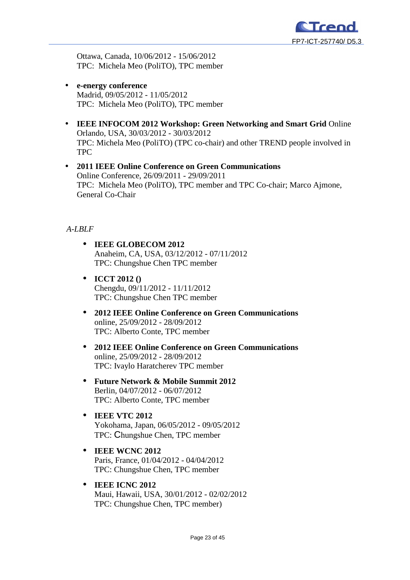

Ottawa, Canada, 10/06/2012 - 15/06/2012 TPC: Michela Meo (PoliTO), TPC member

- **e-energy conference**  Madrid, 09/05/2012 - 11/05/2012 TPC: Michela Meo (PoliTO), TPC member
- **IEEE INFOCOM 2012 Workshop: Green Networking and Smart Grid** Online Orlando, USA, 30/03/2012 - 30/03/2012 TPC: Michela Meo (PoliTO) (TPC co-chair) and other TREND people involved in TPC
- **2011 IEEE Online Conference on Green Communications** Online Conference, 26/09/2011 - 29/09/2011 TPC: Michela Meo (PoliTO), TPC member and TPC Co-chair; Marco Ajmone, General Co-Chair

### *A-LBLF*

- **IEEE GLOBECOM 2012**  Anaheim, CA, USA, 03/12/2012 - 07/11/2012 TPC: Chungshue Chen TPC member
- **ICCT 2012 ()**  Chengdu, 09/11/2012 - 11/11/2012 TPC: Chungshue Chen TPC member
- **2012 IEEE Online Conference on Green Communications** online, 25/09/2012 - 28/09/2012 TPC: Alberto Conte, TPC member
- **2012 IEEE Online Conference on Green Communications** online, 25/09/2012 - 28/09/2012 TPC: Ivaylo Haratcherev TPC member
- **Future Network & Mobile Summit 2012** Berlin, 04/07/2012 - 06/07/2012 TPC: Alberto Conte, TPC member
- **IEEE VTC 2012** Yokohama, Japan, 06/05/2012 - 09/05/2012 TPC: Chungshue Chen, TPC member
- **IEEE WCNC 2012**  Paris, France, 01/04/2012 - 04/04/2012 TPC: Chungshue Chen, TPC member
- **IEEE ICNC 2012** Maui, Hawaii, USA, 30/01/2012 - 02/02/2012 TPC: Chungshue Chen, TPC member)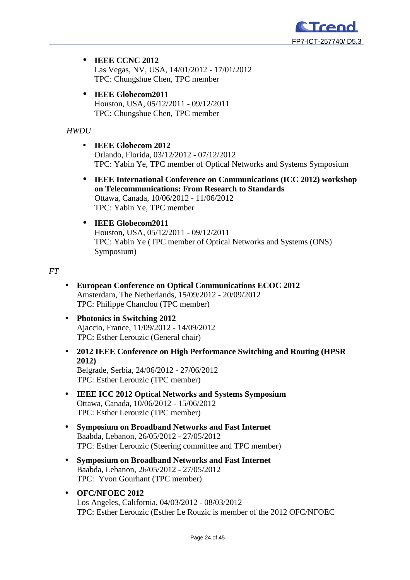

• **IEEE CCNC 2012**  Las Vegas, NV, USA, 14/01/2012 - 17/01/2012 TPC: Chungshue Chen, TPC member

• **IEEE Globecom2011** Houston, USA, 05/12/2011 - 09/12/2011 TPC: Chungshue Chen, TPC member

## *HWDU*

• **IEEE Globecom 2012**  Orlando, Florida, 03/12/2012 - 07/12/2012 TPC: Yabin Ye, TPC member of Optical Networks and Systems Symposium

• **IEEE International Conference on Communications (ICC 2012) workshop on Telecommunications: From Research to Standards** Ottawa, Canada, 10/06/2012 - 11/06/2012 TPC: Yabin Ye, TPC member

### • **IEEE Globecom2011**

Houston, USA, 05/12/2011 - 09/12/2011 TPC: Yabin Ye (TPC member of Optical Networks and Systems (ONS) Symposium)

*FT*

- **European Conference on Optical Communications ECOC 2012**  Amsterdam, The Netherlands, 15/09/2012 - 20/09/2012 TPC: Philippe Chanclou (TPC member)
- **Photonics in Switching 2012**  Ajaccio, France, 11/09/2012 - 14/09/2012 TPC: Esther Lerouzic (General chair)
- **2012 IEEE Conference on High Performance Switching and Routing (HPSR 2012)**  Belgrade, Serbia, 24/06/2012 - 27/06/2012 TPC: Esther Lerouzic (TPC member)
- **IEEE ICC 2012 Optical Networks and Systems Symposium**  Ottawa, Canada, 10/06/2012 - 15/06/2012 TPC: Esther Lerouzic (TPC member)
- **Symposium on Broadband Networks and Fast Internet**  Baabda, Lebanon, 26/05/2012 - 27/05/2012 TPC: Esther Lerouzic (Steering committee and TPC member)
- **Symposium on Broadband Networks and Fast Internet**  Baabda, Lebanon, 26/05/2012 - 27/05/2012 TPC: Yvon Gourhant (TPC member)
- **OFC/NFOEC 2012**  Los Angeles, California, 04/03/2012 - 08/03/2012 TPC: Esther Lerouzic (Esther Le Rouzic is member of the 2012 OFC/NFOEC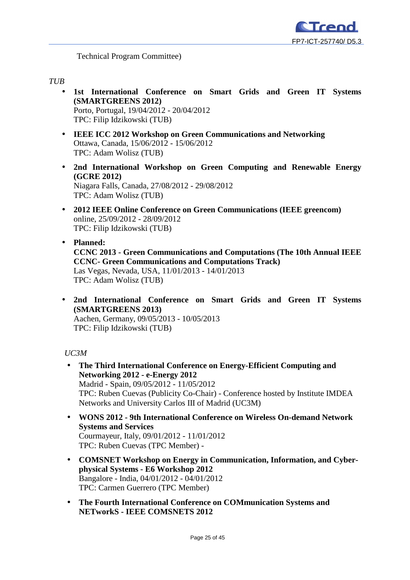

Technical Program Committee)

## *TUB*

- **1st International Conference on Smart Grids and Green IT Systems (SMARTGREENS 2012)**  Porto, Portugal, 19/04/2012 - 20/04/2012 TPC: Filip Idzikowski (TUB)
- **IEEE ICC 2012 Workshop on Green Communications and Networking** Ottawa, Canada, 15/06/2012 - 15/06/2012 TPC: Adam Wolisz (TUB)
- **2nd International Workshop on Green Computing and Renewable Energy (GCRE 2012)**  Niagara Falls, Canada, 27/08/2012 - 29/08/2012 TPC: Adam Wolisz (TUB)
- **2012 IEEE Online Conference on Green Communications (IEEE greencom)** online, 25/09/2012 - 28/09/2012 TPC: Filip Idzikowski (TUB)
- **Planned: CCNC 2013 - Green Communications and Computations (The 10th Annual IEEE CCNC- Green Communications and Computations Track)**  Las Vegas, Nevada, USA, 11/01/2013 - 14/01/2013 TPC: Adam Wolisz (TUB)
- **2nd International Conference on Smart Grids and Green IT Systems (SMARTGREENS 2013)** Aachen, Germany, 09/05/2013 - 10/05/2013 TPC: Filip Idzikowski (TUB)

## *UC3M*

- **The Third International Conference on Energy-Efficient Computing and Networking 2012 - e-Energy 2012**  Madrid - Spain, 09/05/2012 - 11/05/2012 TPC: Ruben Cuevas (Publicity Co-Chair) - Conference hosted by Institute IMDEA Networks and University Carlos III of Madrid (UC3M)
- **WONS 2012 9th International Conference on Wireless On-demand Network Systems and Services**  Courmayeur, Italy, 09/01/2012 - 11/01/2012 TPC: Ruben Cuevas (TPC Member) -
- **COMSNET Workshop on Energy in Communication, Information, and Cyberphysical Systems - E6 Workshop 2012**  Bangalore - India, 04/01/2012 - 04/01/2012 TPC: Carmen Guerrero (TPC Member)
- **The Fourth International Conference on COMmunication Systems and NETworkS - IEEE COMSNETS 2012**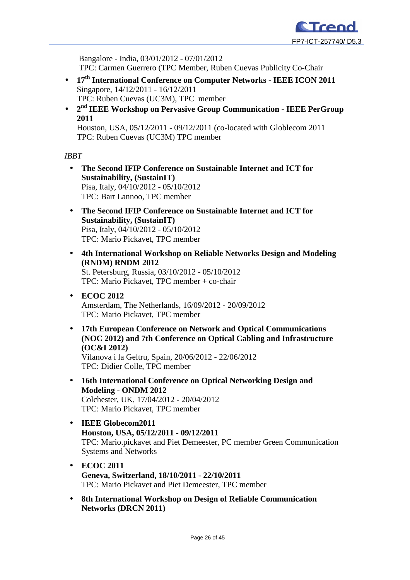

Bangalore - India, 03/01/2012 - 07/01/2012 TPC: Carmen Guerrero (TPC Member, Ruben Cuevas Publicity Co-Chair

- **17th International Conference on Computer Networks IEEE ICON 2011**  Singapore, 14/12/2011 - 16/12/2011 TPC: Ruben Cuevas (UC3M), TPC member
- **2 nd IEEE Workshop on Pervasive Group Communication IEEE PerGroup 2011**  Houston, USA, 05/12/2011 - 09/12/2011 (co-located with Globlecom 2011

*IBBT* 

• **The Second IFIP Conference on Sustainable Internet and ICT for Sustainability, (SustainIT)**  Pisa, Italy, 04/10/2012 - 05/10/2012 TPC: Bart Lannoo, TPC member

TPC: Ruben Cuevas (UC3M) TPC member

- **The Second IFIP Conference on Sustainable Internet and ICT for Sustainability, (SustainIT)**  Pisa, Italy, 04/10/2012 - 05/10/2012 TPC: Mario Pickavet, TPC member
- **4th International Workshop on Reliable Networks Design and Modeling (RNDM) RNDM 2012**  St. Petersburg, Russia, 03/10/2012 - 05/10/2012 TPC: Mario Pickavet, TPC member + co-chair
- **ECOC 2012**  Amsterdam, The Netherlands, 16/09/2012 - 20/09/2012 TPC: Mario Pickavet, TPC member
- **17th European Conference on Network and Optical Communications (NOC 2012) and 7th Conference on Optical Cabling and Infrastructure (OC&I 2012)**  Vilanova i la Geltru, Spain, 20/06/2012 - 22/06/2012 TPC: Didier Colle, TPC member
- **16th International Conference on Optical Networking Design and Modeling - ONDM 2012**  Colchester, UK, 17/04/2012 - 20/04/2012 TPC: Mario Pickavet, TPC member
- **IEEE Globecom2011 Houston, USA, 05/12/2011 - 09/12/2011**  TPC: Mario.pickavet and Piet Demeester, PC member Green Communication Systems and Networks
- **ECOC 2011 Geneva, Switzerland, 18/10/2011 - 22/10/2011**  TPC: Mario Pickavet and Piet Demeester, TPC member
- **8th International Workshop on Design of Reliable Communication Networks (DRCN 2011)**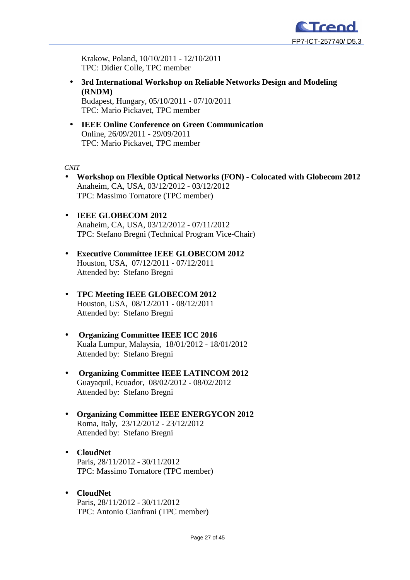

Krakow, Poland, 10/10/2011 - 12/10/2011 TPC: Didier Colle, TPC member

- **3rd International Workshop on Reliable Networks Design and Modeling (RNDM)**  Budapest, Hungary, 05/10/2011 - 07/10/2011 TPC: Mario Pickavet, TPC member
- **IEEE Online Conference on Green Communication**  Online, 26/09/2011 - 29/09/2011 TPC: Mario Pickavet, TPC member

*CNIT* 

- **Workshop on Flexible Optical Networks (FON) Colocated with Globecom 2012** Anaheim, CA, USA, 03/12/2012 - 03/12/2012 TPC: Massimo Tornatore (TPC member)
- **IEEE GLOBECOM 2012**  Anaheim, CA, USA, 03/12/2012 - 07/11/2012 TPC: Stefano Bregni (Technical Program Vice-Chair)
- **Executive Committee IEEE GLOBECOM 2012**  Houston, USA, 07/12/2011 - 07/12/2011 Attended by: Stefano Bregni
- **TPC Meeting IEEE GLOBECOM 2012**  Houston, USA, 08/12/2011 - 08/12/2011 Attended by: Stefano Bregni
- **Organizing Committee IEEE ICC 2016**  Kuala Lumpur, Malaysia, 18/01/2012 - 18/01/2012 Attended by: Stefano Bregni
- **Organizing Committee IEEE LATINCOM 2012**  Guayaquil, Ecuador, 08/02/2012 - 08/02/2012 Attended by: Stefano Bregni
- **Organizing Committee IEEE ENERGYCON 2012**  Roma, Italy, 23/12/2012 - 23/12/2012 Attended by: Stefano Bregni
- **CloudNet**  Paris, 28/11/2012 - 30/11/2012 TPC: Massimo Tornatore (TPC member)
- **CloudNet**  Paris, 28/11/2012 - 30/11/2012 TPC: Antonio Cianfrani (TPC member)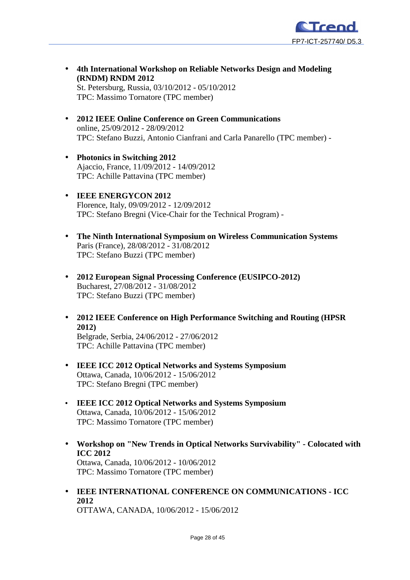

- **4th International Workshop on Reliable Networks Design and Modeling (RNDM) RNDM 2012**  St. Petersburg, Russia, 03/10/2012 - 05/10/2012 TPC: Massimo Tornatore (TPC member)
- **2012 IEEE Online Conference on Green Communications** online, 25/09/2012 - 28/09/2012 TPC: Stefano Buzzi, Antonio Cianfrani and Carla Panarello (TPC member) -
- **Photonics in Switching 2012**  Ajaccio, France, 11/09/2012 - 14/09/2012 TPC: Achille Pattavina (TPC member)
- **IEEE ENERGYCON 2012**  Florence, Italy, 09/09/2012 - 12/09/2012 TPC: Stefano Bregni (Vice-Chair for the Technical Program) -
- **The Ninth International Symposium on Wireless Communication Systems**  Paris (France), 28/08/2012 - 31/08/2012 TPC: Stefano Buzzi (TPC member)
- **2012 European Signal Processing Conference (EUSIPCO-2012)**  Bucharest, 27/08/2012 - 31/08/2012 TPC: Stefano Buzzi (TPC member)
- **2012 IEEE Conference on High Performance Switching and Routing (HPSR 2012)**  Belgrade, Serbia, 24/06/2012 - 27/06/2012

TPC: Achille Pattavina (TPC member)

- **IEEE ICC 2012 Optical Networks and Systems Symposium**  Ottawa, Canada, 10/06/2012 - 15/06/2012 TPC: Stefano Bregni (TPC member)
- **IEEE ICC 2012 Optical Networks and Systems Symposium** Ottawa, Canada, 10/06/2012 - 15/06/2012 TPC: Massimo Tornatore (TPC member)
- **Workshop on "New Trends in Optical Networks Survivability" Colocated with ICC 2012**  Ottawa, Canada, 10/06/2012 - 10/06/2012 TPC: Massimo Tornatore (TPC member)
- **IEEE INTERNATIONAL CONFERENCE ON COMMUNICATIONS ICC 2012**  OTTAWA, CANADA, 10/06/2012 - 15/06/2012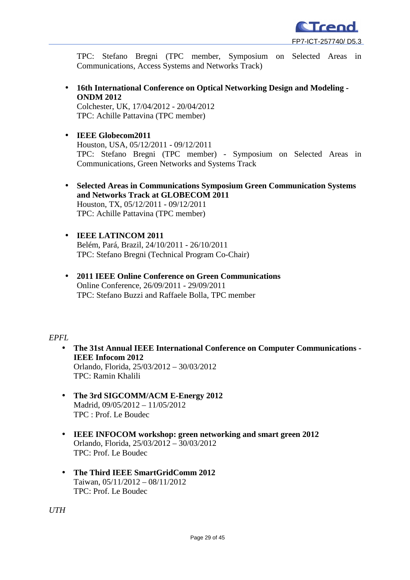

TPC: Stefano Bregni (TPC member, Symposium on Selected Areas in Communications, Access Systems and Networks Track)

• **16th International Conference on Optical Networking Design and Modeling - ONDM 2012** 

Colchester, UK, 17/04/2012 - 20/04/2012 TPC: Achille Pattavina (TPC member)

- **IEEE Globecom2011**  Houston, USA, 05/12/2011 - 09/12/2011 TPC: Stefano Bregni (TPC member) - Symposium on Selected Areas in Communications, Green Networks and Systems Track
- **Selected Areas in Communications Symposium Green Communication Systems and Networks Track at GLOBECOM 2011**  Houston, TX, 05/12/2011 - 09/12/2011 TPC: Achille Pattavina (TPC member)
- **IEEE LATINCOM 2011**  Belém, Pará, Brazil, 24/10/2011 - 26/10/2011 TPC: Stefano Bregni (Technical Program Co-Chair)
- **2011 IEEE Online Conference on Green Communications** Online Conference, 26/09/2011 - 29/09/2011 TPC: Stefano Buzzi and Raffaele Bolla, TPC member

## *EPFL*

- **The 31st Annual IEEE International Conference on Computer Communications IEEE Infocom 2012**  Orlando, Florida, 25/03/2012 – 30/03/2012 TPC: Ramin Khalili
- **The 3rd SIGCOMM/ACM E-Energy 2012**  Madrid, 09/05/2012 – 11/05/2012 TPC : Prof. Le Boudec
- **IEEE INFOCOM workshop: green networking and smart green 2012** Orlando, Florida, 25/03/2012 – 30/03/2012 TPC: Prof. Le Boudec
- **The Third IEEE SmartGridComm 2012**  Taiwan, 05/11/2012 – 08/11/2012 TPC: Prof. Le Boudec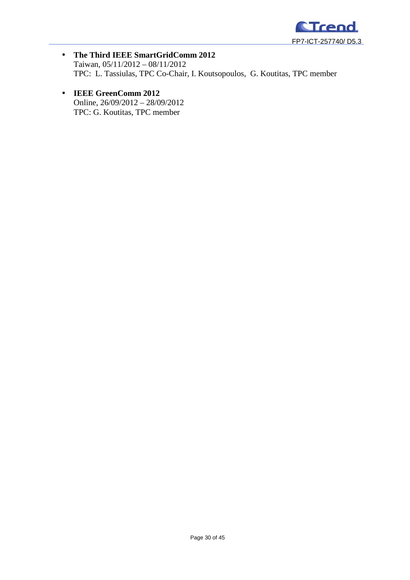

## • **The Third IEEE SmartGridComm 2012**  Taiwan, 05/11/2012 – 08/11/2012 TPC: L. Tassiulas, TPC Co-Chair, I. Koutsopoulos, G. Koutitas, TPC member

• **IEEE GreenComm 2012**  Online, 26/09/2012 – 28/09/2012 TPC: G. Koutitas, TPC member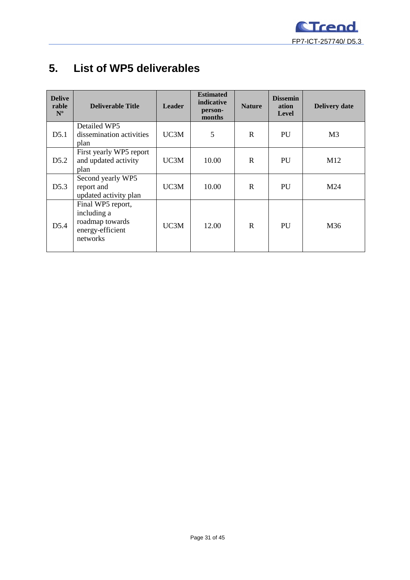

## **5. List of WP5 deliverables**

| <b>Delive</b><br>rable<br>$N^{\rm o}$ | <b>Deliverable Title</b>                                                            | <b>Leader</b> | <b>Estimated</b><br>indicative<br>person-<br>months | <b>Nature</b> | <b>Dissemin</b><br>ation<br><b>Level</b> | <b>Delivery date</b> |
|---------------------------------------|-------------------------------------------------------------------------------------|---------------|-----------------------------------------------------|---------------|------------------------------------------|----------------------|
| D5.1                                  | Detailed WP5<br>dissemination activities<br>plan                                    | UC3M          | 5                                                   | $\mathbf R$   | PU                                       | M <sub>3</sub>       |
| D <sub>5.2</sub>                      | First yearly WP5 report<br>and updated activity<br>plan                             | UC3M          | 10.00                                               | $\mathbf R$   | PU                                       | M <sub>12</sub>      |
| D5.3                                  | Second yearly WP5<br>report and<br>updated activity plan                            | UC3M          | 10.00                                               | R             | PU                                       | M24                  |
| D <sub>5.4</sub>                      | Final WP5 report,<br>including a<br>roadmap towards<br>energy-efficient<br>networks | UC3M          | 12.00                                               | $\mathbf R$   | PU                                       | M36                  |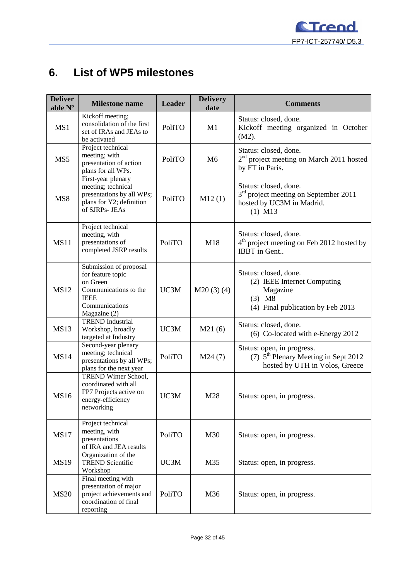

## **6. List of WP5 milestones**

| <b>Deliver</b><br>able N° | <b>Milestone name</b>                                                                                                             | <b>Leader</b> | <b>Delivery</b><br>date | <b>Comments</b>                                                                                                               |
|---------------------------|-----------------------------------------------------------------------------------------------------------------------------------|---------------|-------------------------|-------------------------------------------------------------------------------------------------------------------------------|
| MS1                       | Kickoff meeting;<br>consolidation of the first<br>set of IRAs and JEAs to<br>be activated                                         | PoliTO        | M1                      | Status: closed, done.<br>Kickoff meeting organized in October<br>$(M2)$ .                                                     |
| MS5                       | Project technical<br>meeting; with<br>presentation of action<br>plans for all WPs.                                                | PoliTO        | M <sub>6</sub>          | Status: closed, done.<br>2 <sup>nd</sup> project meeting on March 2011 hosted<br>by FT in Paris.                              |
| MS8                       | First-year plenary<br>meeting; technical<br>presentations by all WPs;<br>plans for Y2; definition<br>of SJRPs- JEAs               | PoliTO        | M12(1)                  | Status: closed, done.<br>3 <sup>rd</sup> project meeting on September 2011<br>hosted by UC3M in Madrid.<br>$(1)$ M13          |
| <b>MS11</b>               | Project technical<br>meeting, with<br>presentations of<br>completed JSRP results                                                  | PoliTO        | M18                     | Status: closed, done.<br>4 <sup>th</sup> project meeting on Feb 2012 hosted by<br>IBBT in Gent                                |
| <b>MS12</b>               | Submission of proposal<br>for feature topic<br>on Green<br>Communications to the<br><b>IEEE</b><br>Communications<br>Magazine (2) | UC3M          | M20(3)(4)               | Status: closed, done.<br>(2) IEEE Internet Computing<br>Magazine<br>$(3)$ M <sub>8</sub><br>(4) Final publication by Feb 2013 |
| <b>MS13</b>               | <b>TREND</b> Industrial<br>Workshop, broadly<br>targeted at Industry                                                              | UC3M          | M21(6)                  | Status: closed, done.<br>(6) Co-located with e-Energy 2012                                                                    |
| <b>MS14</b>               | Second-year plenary<br>meeting; technical<br>presentations by all WPs;<br>plans for the next year                                 | PoliTO        | M24(7)                  | Status: open, in progress.<br>(7) $5^{\text{th}}$ Plenary Meeting in Sept 2012<br>hosted by UTH in Volos, Greece              |
| <b>MS16</b>               | <b>TREND Winter School,</b><br>coordinated with all<br>FP7 Projects active on<br>energy-efficiency<br>networking                  | UC3M          | M28                     | Status: open, in progress.                                                                                                    |
| <b>MS17</b>               | Project technical<br>meeting, with<br>presentations<br>of IRA and JEA results                                                     | PoliTO        | M30                     | Status: open, in progress.                                                                                                    |
| <b>MS19</b>               | Organization of the<br><b>TREND Scientific</b><br>Workshop                                                                        | UC3M          | M35                     | Status: open, in progress.                                                                                                    |
| <b>MS20</b>               | Final meeting with<br>presentation of major<br>project achievements and<br>coordination of final<br>reporting                     | PoliTO        | M36                     | Status: open, in progress.                                                                                                    |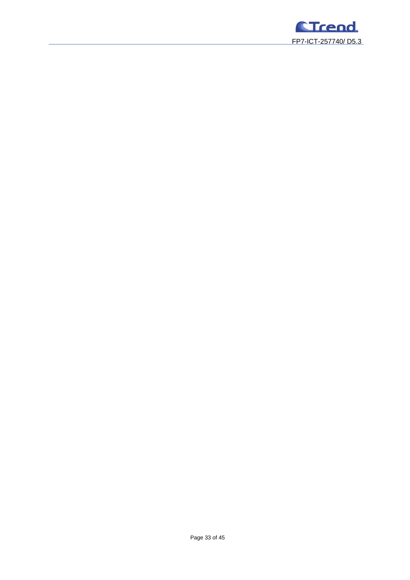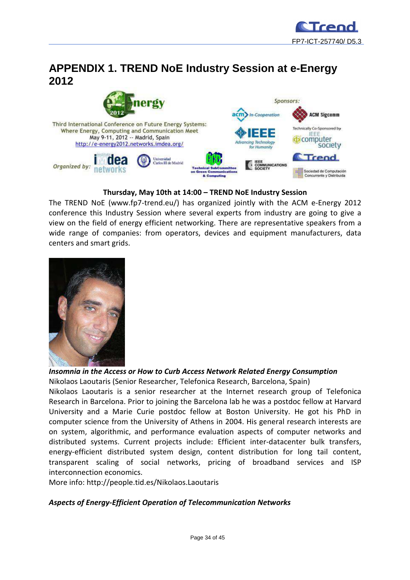

## **APPENDIX 1. TREND NoE Industry Session at e-Energy 2012**



## **Thursday, May 10th at 14:00 – TREND NoE Industry Session**

The TREND NoE (www.fp7-trend.eu/) has organized jointly with the ACM e-Energy 2012 conference this Industry Session where several experts from industry are going to give a view on the field of energy efficient networking. There are representative speakers from a wide range of companies: from operators, devices and equipment manufacturers, data centers and smart grids.



## *Insomnia in the Access or How to Curb Access Network Related Energy Consumption*

Nikolaos Laoutaris (Senior Researcher, Telefonica Research, Barcelona, Spain) Nikolaos Laoutaris is a senior researcher at the Internet research group of Telefonica Research in Barcelona. Prior to joining the Barcelona lab he was a postdoc fellow at Harvard University and a Marie Curie postdoc fellow at Boston University. He got his PhD in computer science from the University of Athens in 2004. His general research interests are on system, algorithmic, and performance evaluation aspects of computer networks and distributed systems. Current projects include: Efficient inter-datacenter bulk transfers, energy-efficient distributed system design, content distribution for long tail content, transparent scaling of social networks, pricing of broadband services and ISP interconnection economics.

More info: http://people.tid.es/Nikolaos.Laoutaris

#### *Aspects of Energy-Efficient Operation of Telecommunication Networks*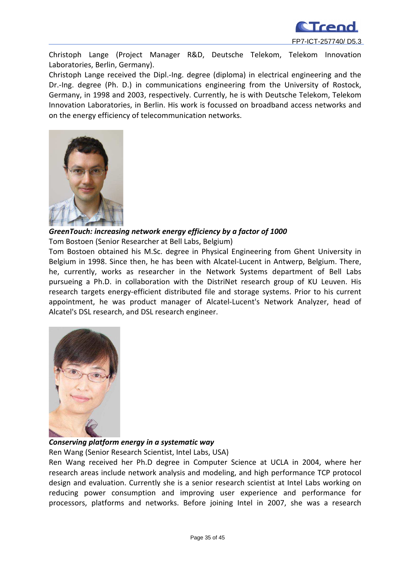

Christoph Lange (Project Manager R&D, Deutsche Telekom, Telekom Innovation Laboratories, Berlin, Germany).

Christoph Lange received the Dipl.-Ing. degree (diploma) in electrical engineering and the Dr.-Ing. degree (Ph. D.) in communications engineering from the University of Rostock, Germany, in 1998 and 2003, respectively. Currently, he is with Deutsche Telekom, Telekom Innovation Laboratories, in Berlin. His work is focussed on broadband access networks and on the energy efficiency of telecommunication networks.



## *GreenTouch: increasing network energy efficiency by a factor of 1000*

Tom Bostoen (Senior Researcher at Bell Labs, Belgium)

Tom Bostoen obtained his M.Sc. degree in Physical Engineering from Ghent University in Belgium in 1998. Since then, he has been with Alcatel-Lucent in Antwerp, Belgium. There, he, currently, works as researcher in the Network Systems department of Bell Labs pursueing a Ph.D. in collaboration with the DistriNet research group of KU Leuven. His research targets energy-efficient distributed file and storage systems. Prior to his current appointment, he was product manager of Alcatel-Lucent's Network Analyzer, head of Alcatel's DSL research, and DSL research engineer.



## *Conserving platform energy in a systematic way*

Ren Wang (Senior Research Scientist, Intel Labs, USA)

Ren Wang received her Ph.D degree in Computer Science at UCLA in 2004, where her research areas include network analysis and modeling, and high performance TCP protocol design and evaluation. Currently she is a senior research scientist at Intel Labs working on reducing power consumption and improving user experience and performance for processors, platforms and networks. Before joining Intel in 2007, she was a research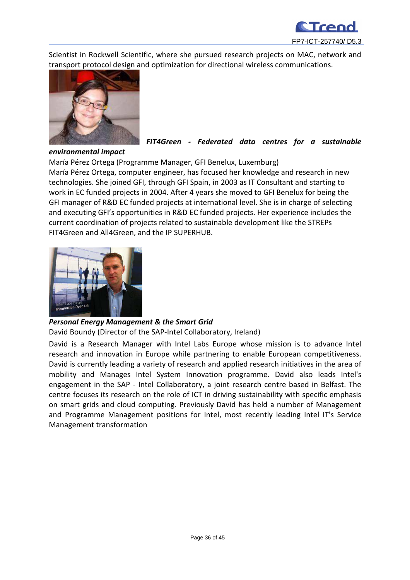

Scientist in Rockwell Scientific, where she pursued research projects on MAC, network and transport protocol design and optimization for directional wireless communications.



*FIT4Green - Federated data centres for a sustainable* 

## *environmental impact*

María Pérez Ortega (Programme Manager, GFI Benelux, Luxemburg) María Pérez Ortega, computer engineer, has focused her knowledge and research in new technologies. She joined GFI, through GFI Spain, in 2003 as IT Consultant and starting to work in EC funded projects in 2004. After 4 years she moved to GFI Benelux for being the GFI manager of R&D EC funded projects at international level. She is in charge of selecting and executing GFI's opportunities in R&D EC funded projects. Her experience includes the current coordination of projects related to sustainable development like the STREPs FIT4Green and All4Green, and the IP SUPERHUB.



## *Personal Energy Management & the Smart Grid*  David Boundy (Director of the SAP-Intel Collaboratory, Ireland)

David is a Research Manager with Intel Labs Europe whose mission is to advance Intel research and innovation in Europe while partnering to enable European competitiveness. David is currently leading a variety of research and applied research initiatives in the area of mobility and Manages Intel System Innovation programme. David also leads Intel's engagement in the SAP - Intel Collaboratory, a joint research centre based in Belfast. The centre focuses its research on the role of ICT in driving sustainability with specific emphasis on smart grids and cloud computing. Previously David has held a number of Management and Programme Management positions for Intel, most recently leading Intel IT's Service Management transformation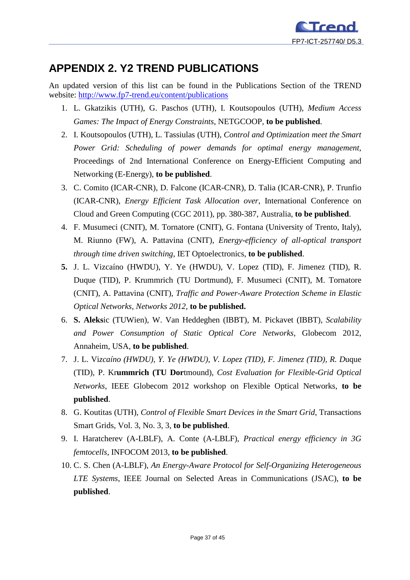

## **APPENDIX 2. Y2 TREND PUBLICATIONS**

An updated version of this list can be found in the Publications Section of the TREND website: http://www.fp7-trend.eu/content/publications

- 1. L. Gkatzikis (UTH), G. Paschos (UTH), I. Koutsopoulos (UTH), *Medium Access Games: The Impact of Energy Constraints*, NETGCOOP, **to be published**.
- 2. I. Koutsopoulos (UTH), L. Tassiulas (UTH), *Control and Optimization meet the Smart Power Grid: Scheduling of power demands for optimal energy management*, Proceedings of 2nd International Conference on Energy-Efficient Computing and Networking (E-Energy), **to be published**.
- 3. C. Comito (ICAR-CNR), D. Falcone (ICAR-CNR), D. Talia (ICAR-CNR), P. Trunfio (ICAR-CNR), *Energy Efficient Task Allocation over*, International Conference on Cloud and Green Computing (CGC 2011), pp. 380-387, Australia, **to be published**.
- 4. F. Musumeci (CNIT), M. Tornatore (CNIT), G. Fontana (University of Trento, Italy), M. Riunno (FW), A. Pattavina (CNIT), *Energy-efficiency of all-optical transport through time driven switching*, IET Optoelectronics, **to be published**.
- **5.** J. L. Vizcaíno (HWDU), Y. Ye (HWDU), V. Lopez (TID), F. Jimenez (TID), R. Duque (TID), P. Krummrich (TU Dortmund), F. Musumeci (CNIT), M. Tornatore (CNIT), A. Pattavina (CNIT)*, Traffic and Power-Aware Protection Scheme in Elastic Optical Networks, Networks 2012*, **to be published.**
- 6. **S. Aleks**ic (TUWien), W. Van Heddeghen (IBBT), M. Pickavet (IBBT), *Scalability and Power Consumption of Static Optical Core Networks*, Globecom 2012, Annaheim, USA, **to be published**.
- 7. J. L. Vi*zcaíno (HWDU), Y. Ye (HWDU), V. Lopez (TID), F. Jimenez (TID), R. D*uque (TID), P. Kr**ummrich (TU Dor**tmound), *Cost Evaluation for Flexible-Grid Optical Networks*, IEEE Globecom 2012 workshop on Flexible Optical Networks, **to be published**.
- 8. G. Koutitas (UTH), *Control of Flexible Smart Devices in the Smart Grid*, Transactions Smart Grids, Vol. 3, No. 3, 3, **to be published**.
- 9. I. Haratcherev (A-LBLF), A. Conte (A-LBLF), *Practical energy efficiency in 3G femtocells*, INFOCOM 2013, **to be published**.
- 10. C. S. Chen (A-LBLF), *An Energy-Aware Protocol for Self-Organizing Heterogeneous LTE Systems*, IEEE Journal on Selected Areas in Communications (JSAC), **to be published**.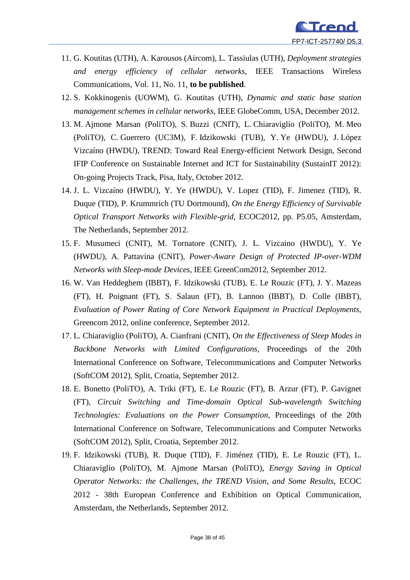- 11. G. Koutitas (UTH), A. Karousos (Aircom), L. Tassiulas (UTH), *Deployment strategies and energy efficiency of cellular networks*, IEEE Transactions Wireless Communications, Vol. 11, No. 11, **to be published**.
- 12. S. Kokkinogenis (UOWM), G. Koutitas (UTH), *Dynamic and static base station management schemes in cellular networks*, IEEE GlobeComm, USA, December 2012.
- 13. M. Ajmone Marsan (PoliTO), S. Buzzi (CNIT), L. Chiaraviglio (PoliTO), M. Meo (PoliTO), C. Guerrero (UC3M), F. Idzikowski (TUB), Y. Ye (HWDU), J. López Vizcaíno (HWDU), TREND: Toward Real Energy-efficient Network Design, Second IFIP Conference on Sustainable Internet and ICT for Sustainability (SustainIT 2012): On-going Projects Track, Pisa, Italy, October 2012.
- 14. J. L. Vizcaíno (HWDU), Y. Ye (HWDU), V. Lopez (TID), F. Jimenez (TID), R. Duque (TID), P. Krummrich (TU Dortmound), *On the Energy Efficiency of Survivable Optical Transport Networks with Flexible-grid*, ECOC2012, pp. P5.05, Amsterdam, The Netherlands, September 2012.
- 15. F. Musumeci (CNIT), M. Tornatore (CNIT), J. L. Vizcaino (HWDU), Y. Ye (HWDU), A. Pattavina (CNIT), *Power-Aware Design of Protected IP-over-WDM Networks with Sleep-mode Devices*, IEEE GreenCom2012, September 2012.
- 16. W. Van Heddeghem (IBBT), F. Idzikowski (TUB), E. Le Rouzic (FT), J. Y. Mazeas (FT), H. Poignant (FT), S. Salaun (FT), B. Lannoo (IBBT), D. Colle (IBBT), *Evaluation of Power Rating of Core Network Equipment in Practical Deployments*, Greencom 2012, online conference, September 2012.
- 17. L. Chiaraviglio (PoliTO), A. Cianfrani (CNIT), *On the Effectiveness of Sleep Modes in Backbone Networks with Limited Configurations*, Proceedings of the 20th International Conference on Software, Telecommunications and Computer Networks (SoftCOM 2012), Split, Croatia, September 2012.
- 18. E. Bonetto (PoliTO), A. Triki (FT), E. Le Rouzic (FT), B. Arzur (FT), P. Gavignet (FT), *Circuit Switching and Time-domain Optical Sub-wavelength Switching Technologies: Evaluations on the Power Consumption*, Proceedings of the 20th International Conference on Software, Telecommunications and Computer Networks (SoftCOM 2012), Split, Croatia, September 2012.
- 19. F. Idzikowski (TUB), R. Duque (TID), F. Jiménez (TID), E. Le Rouzic (FT), L. Chiaraviglio (PoliTO), M. Ajmone Marsan (PoliTO), *Energy Saving in Optical Operator Networks: the Challenges, the TREND Vision, and Some Results*, ECOC 2012 - 38th European Conference and Exhibition on Optical Communication, Amsterdam, the Netherlands, September 2012.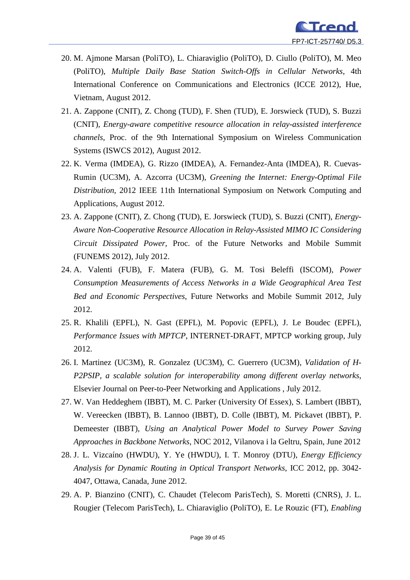- 20. M. Ajmone Marsan (PoliTO), L. Chiaraviglio (PoliTO), D. Ciullo (PoliTO), M. Meo (PoliTO), *Multiple Daily Base Station Switch-Offs in Cellular Networks*, 4th International Conference on Communications and Electronics (ICCE 2012), Hue, Vietnam, August 2012.
- 21. A. Zappone (CNIT), Z. Chong (TUD), F. Shen (TUD), E. Jorswieck (TUD), S. Buzzi (CNIT), *Energy-aware competitive resource allocation in relay-assisted interference channels*, Proc. of the 9th International Symposium on Wireless Communication Systems (ISWCS 2012), August 2012.
- 22. K. Verma (IMDEA), G. Rizzo (IMDEA), A. Fernandez-Anta (IMDEA), R. Cuevas-Rumin (UC3M), A. Azcorra (UC3M), *Greening the Internet: Energy-Optimal File Distribution*, 2012 IEEE 11th International Symposium on Network Computing and Applications, August 2012.
- 23. A. Zappone (CNIT), Z. Chong (TUD), E. Jorswieck (TUD), S. Buzzi (CNIT), *Energy-Aware Non-Cooperative Resource Allocation in Relay-Assisted MIMO IC Considering Circuit Dissipated Power*, Proc. of the Future Networks and Mobile Summit (FUNEMS 2012), July 2012.
- 24. A. Valenti (FUB), F. Matera (FUB), G. M. Tosi Beleffi (ISCOM), *Power Consumption Measurements of Access Networks in a Wide Geographical Area Test Bed and Economic Perspectives*, Future Networks and Mobile Summit 2012, July 2012.
- 25. R. Khalili (EPFL), N. Gast (EPFL), M. Popovic (EPFL), J. Le Boudec (EPFL), *Performance Issues with MPTCP*, INTERNET-DRAFT, MPTCP working group, July 2012.
- 26. I. Martinez (UC3M), R. Gonzalez (UC3M), C. Guerrero (UC3M), *Validation of H-P2PSIP, a scalable solution for interoperability among different overlay networks*, Elsevier Journal on Peer-to-Peer Networking and Applications , July 2012.
- 27. W. Van Heddeghem (IBBT), M. C. Parker (University Of Essex), S. Lambert (IBBT), W. Vereecken (IBBT), B. Lannoo (IBBT), D. Colle (IBBT), M. Pickavet (IBBT), P. Demeester (IBBT), *Using an Analytical Power Model to Survey Power Saving Approaches in Backbone Networks*, NOC 2012, Vilanova i la Geltru, Spain, June 2012
- 28. J. L. Vizcaíno (HWDU), Y. Ye (HWDU), I. T. Monroy (DTU), *Energy Efficiency Analysis for Dynamic Routing in Optical Transport Networks*, ICC 2012, pp. 3042- 4047, Ottawa, Canada, June 2012.
- 29. A. P. Bianzino (CNIT), C. Chaudet (Telecom ParisTech), S. Moretti (CNRS), J. L. Rougier (Telecom ParisTech), L. Chiaraviglio (PoliTO), E. Le Rouzic (FT), *Enabling*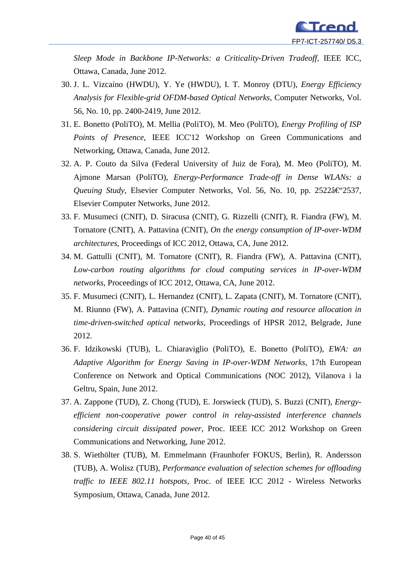

*Sleep Mode in Backbone IP-Networks: a Criticality-Driven Tradeoff*, IEEE ICC, Ottawa, Canada, June 2012.

- 30. J. L. Vizcaíno (HWDU), Y. Ye (HWDU), I. T. Monroy (DTU), *Energy Efficiency Analysis for Flexible-grid OFDM-based Optical Networks*, Computer Networks, Vol. 56, No. 10, pp. 2400-2419, June 2012.
- 31. E. Bonetto (PoliTO), M. Mellia (PoliTO), M. Meo (PoliTO), *Energy Profiling of ISP Points of Presence*, IEEE ICC'12 Workshop on Green Communications and Networking, Ottawa, Canada, June 2012.
- 32. A. P. Couto da Silva (Federal University of Juiz de Fora), M. Meo (PoliTO), M. Ajmone Marsan (PoliTO), *Energy-Performance Trade-off in Dense WLANs: a Queuing Study*, Elsevier Computer Networks, Vol. 56, No. 10, pp. 2522†2537, Elsevier Computer Networks, June 2012.
- 33. F. Musumeci (CNIT), D. Siracusa (CNIT), G. Rizzelli (CNIT), R. Fiandra (FW), M. Tornatore (CNIT), A. Pattavina (CNIT), *On the energy consumption of IP-over-WDM architectures*, Proceedings of ICC 2012, Ottawa, CA, June 2012.
- 34. M. Gattulli (CNIT), M. Tornatore (CNIT), R. Fiandra (FW), A. Pattavina (CNIT), *Low-carbon routing algorithms for cloud computing services in IP-over-WDM networks*, Proceedings of ICC 2012, Ottawa, CA, June 2012.
- 35. F. Musumeci (CNIT), L. Hernandez (CNIT), L. Zapata (CNIT), M. Tornatore (CNIT), M. Riunno (FW), A. Pattavina (CNIT), *Dynamic routing and resource allocation in time-driven-switched optical networks*, Proceedings of HPSR 2012, Belgrade, June 2012.
- 36. F. Idzikowski (TUB), L. Chiaraviglio (PoliTO), E. Bonetto (PoliTO), *EWA: an Adaptive Algorithm for Energy Saving in IP-over-WDM Networks*, 17th European Conference on Network and Optical Communications (NOC 2012), Vilanova i la Geltru, Spain, June 2012.
- 37. A. Zappone (TUD), Z. Chong (TUD), E. Jorswieck (TUD), S. Buzzi (CNIT), *Energyefficient non-cooperative power control in relay-assisted interference channels considering circuit dissipated power*, Proc. IEEE ICC 2012 Workshop on Green Communications and Networking, June 2012.
- 38. S. Wiethölter (TUB), M. Emmelmann (Fraunhofer FOKUS, Berlin), R. Andersson (TUB), A. Wolisz (TUB), *Performance evaluation of selection schemes for offloading traffic to IEEE 802.11 hotspots*, Proc. of IEEE ICC 2012 - Wireless Networks Symposium, Ottawa, Canada, June 2012.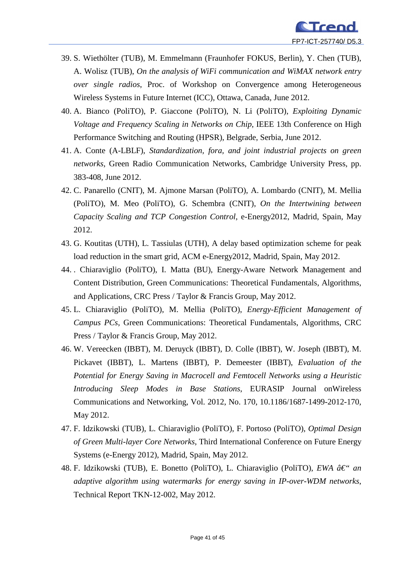- 39. S. Wiethölter (TUB), M. Emmelmann (Fraunhofer FOKUS, Berlin), Y. Chen (TUB), A. Wolisz (TUB), *On the analysis of WiFi communication and WiMAX network entry over single radios*, Proc. of Workshop on Convergence among Heterogeneous Wireless Systems in Future Internet (ICC), Ottawa, Canada, June 2012.
- 40. A. Bianco (PoliTO), P. Giaccone (PoliTO), N. Li (PoliTO), *Exploiting Dynamic Voltage and Frequency Scaling in Networks on Chip*, IEEE 13th Conference on High Performance Switching and Routing (HPSR), Belgrade, Serbia, June 2012.
- 41. A. Conte (A-LBLF), *Standardization, fora, and joint industrial projects on green networks*, Green Radio Communication Networks, Cambridge University Press, pp. 383-408, June 2012.
- 42. C. Panarello (CNIT), M. Ajmone Marsan (PoliTO), A. Lombardo (CNIT), M. Mellia (PoliTO), M. Meo (PoliTO), G. Schembra (CNIT), *On the Intertwining between Capacity Scaling and TCP Congestion Control*, e-Energy2012, Madrid, Spain, May 2012.
- 43. G. Koutitas (UTH), L. Tassiulas (UTH), A delay based optimization scheme for peak load reduction in the smart grid, ACM e-Energy2012, Madrid, Spain, May 2012.
- 44. . Chiaraviglio (PoliTO), I. Matta (BU), Energy-Aware Network Management and Content Distribution, Green Communications: Theoretical Fundamentals, Algorithms, and Applications, CRC Press / Taylor & Francis Group, May 2012.
- 45. L. Chiaraviglio (PoliTO), M. Mellia (PoliTO), *Energy-Efficient Management of Campus PCs*, Green Communications: Theoretical Fundamentals, Algorithms, CRC Press / Taylor & Francis Group, May 2012.
- 46. W. Vereecken (IBBT), M. Deruyck (IBBT), D. Colle (IBBT), W. Joseph (IBBT), M. Pickavet (IBBT), L. Martens (IBBT), P. Demeester (IBBT), *Evaluation of the Potential for Energy Saving in Macrocell and Femtocell Networks using a Heuristic Introducing Sleep Modes in Base Stations*, EURASIP Journal onWireless Communications and Networking, Vol. 2012, No. 170, 10.1186/1687-1499-2012-170, May 2012.
- 47. F. Idzikowski (TUB), L. Chiaraviglio (PoliTO), F. Portoso (PoliTO), *Optimal Design of Green Multi-layer Core Networks*, Third International Conference on Future Energy Systems (e-Energy 2012), Madrid, Spain, May 2012.
- 48. F. Idzikowski (TUB), E. Bonetto (PoliTO), L. Chiaraviglio (PoliTO), *EWA*  $\hat{a}\in \hat{a}$  *an adaptive algorithm using watermarks for energy saving in IP-over-WDM networks*, Technical Report TKN-12-002, May 2012.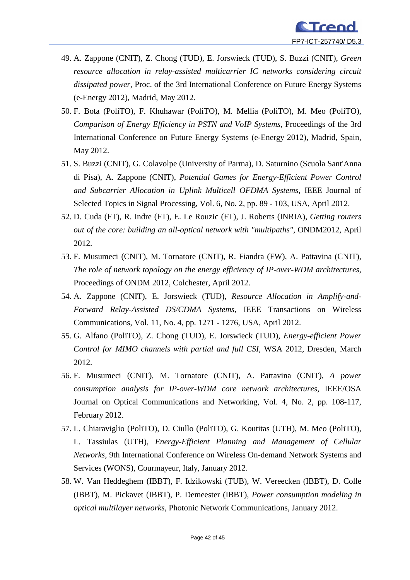

- 49. A. Zappone (CNIT), Z. Chong (TUD), E. Jorswieck (TUD), S. Buzzi (CNIT), *Green resource allocation in relay-assisted multicarrier IC networks considering circuit dissipated power*, Proc. of the 3rd International Conference on Future Energy Systems (e-Energy 2012), Madrid, May 2012.
- 50. F. Bota (PoliTO), F. Khuhawar (PoliTO), M. Mellia (PoliTO), M. Meo (PoliTO), *Comparison of Energy Efficiency in PSTN and VoIP Systems*, Proceedings of the 3rd International Conference on Future Energy Systems (e-Energy 2012), Madrid, Spain, May 2012.
- 51. S. Buzzi (CNIT), G. Colavolpe (University of Parma), D. Saturnino (Scuola Sant'Anna di Pisa), A. Zappone (CNIT), *Potential Games for Energy-Efficient Power Control and Subcarrier Allocation in Uplink Multicell OFDMA Systems*, IEEE Journal of Selected Topics in Signal Processing, Vol. 6, No. 2, pp. 89 - 103, USA, April 2012.
- 52. D. Cuda (FT), R. Indre (FT), E. Le Rouzic (FT), J. Roberts (INRIA), *Getting routers out of the core: building an all-optical network with "multipaths"*, ONDM2012, April 2012.
- 53. F. Musumeci (CNIT), M. Tornatore (CNIT), R. Fiandra (FW), A. Pattavina (CNIT), *The role of network topology on the energy efficiency of IP-over-WDM architectures*, Proceedings of ONDM 2012, Colchester, April 2012.
- 54. A. Zappone (CNIT), E. Jorswieck (TUD), *Resource Allocation in Amplify-and-Forward Relay-Assisted DS/CDMA Systems*, IEEE Transactions on Wireless Communications, Vol. 11, No. 4, pp. 1271 - 1276, USA, April 2012.
- 55. G. Alfano (PoliTO), Z. Chong (TUD), E. Jorswieck (TUD), *Energy-efficient Power Control for MIMO channels with partial and full CSI*, WSA 2012, Dresden, March 2012.
- 56. F. Musumeci (CNIT), M. Tornatore (CNIT), A. Pattavina (CNIT), *A power consumption analysis for IP-over-WDM core network architectures*, IEEE/OSA Journal on Optical Communications and Networking, Vol. 4, No. 2, pp. 108-117, February 2012.
- 57. L. Chiaraviglio (PoliTO), D. Ciullo (PoliTO), G. Koutitas (UTH), M. Meo (PoliTO), L. Tassiulas (UTH), *Energy-Efficient Planning and Management of Cellular Networks*, 9th International Conference on Wireless On-demand Network Systems and Services (WONS), Courmayeur, Italy, January 2012.
- 58. W. Van Heddeghem (IBBT), F. Idzikowski (TUB), W. Vereecken (IBBT), D. Colle (IBBT), M. Pickavet (IBBT), P. Demeester (IBBT), *Power consumption modeling in optical multilayer networks*, Photonic Network Communications, January 2012.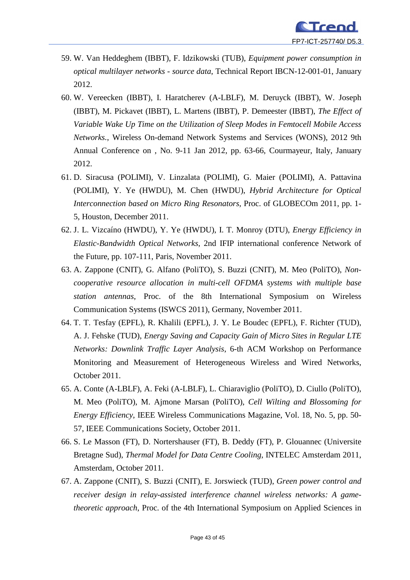- 59. W. Van Heddeghem (IBBT), F. Idzikowski (TUB), *Equipment power consumption in optical multilayer networks - source data*, Technical Report IBCN-12-001-01, January 2012.
- 60. W. Vereecken (IBBT), I. Haratcherev (A-LBLF), M. Deruyck (IBBT), W. Joseph (IBBT), M. Pickavet (IBBT), L. Martens (IBBT), P. Demeester (IBBT), *The Effect of Variable Wake Up Time on the Utilization of Sleep Modes in Femtocell Mobile Access Networks.*, Wireless On-demand Network Systems and Services (WONS), 2012 9th Annual Conference on , No. 9-11 Jan 2012, pp. 63-66, Courmayeur, Italy, January 2012.
- 61. D. Siracusa (POLIMI), V. Linzalata (POLIMI), G. Maier (POLIMI), A. Pattavina (POLIMI), Y. Ye (HWDU), M. Chen (HWDU), *Hybrid Architecture for Optical Interconnection based on Micro Ring Resonators*, Proc. of GLOBECOm 2011, pp. 1- 5, Houston, December 2011.
- 62. J. L. Vizcaíno (HWDU), Y. Ye (HWDU), I. T. Monroy (DTU), *Energy Efficiency in Elastic-Bandwidth Optical Networks*, 2nd IFIP international conference Network of the Future, pp. 107-111, Paris, November 2011.
- 63. A. Zappone (CNIT), G. Alfano (PoliTO), S. Buzzi (CNIT), M. Meo (PoliTO), *Noncooperative resource allocation in multi-cell OFDMA systems with multiple base station antennas*, Proc. of the 8th International Symposium on Wireless Communication Systems (ISWCS 2011), Germany, November 2011.
- 64. T. T. Tesfay (EPFL), R. Khalili (EPFL), J. Y. Le Boudec (EPFL), F. Richter (TUD), A. J. Fehske (TUD), *Energy Saving and Capacity Gain of Micro Sites in Regular LTE Networks: Downlink Traffic Layer Analysis*, 6-th ACM Workshop on Performance Monitoring and Measurement of Heterogeneous Wireless and Wired Networks, October 2011.
- 65. A. Conte (A-LBLF), A. Feki (A-LBLF), L. Chiaraviglio (PoliTO), D. Ciullo (PoliTO), M. Meo (PoliTO), M. Ajmone Marsan (PoliTO), *Cell Wilting and Blossoming for Energy Efficiency*, IEEE Wireless Communications Magazine, Vol. 18, No. 5, pp. 50- 57, IEEE Communications Society, October 2011.
- 66. S. Le Masson (FT), D. Nortershauser (FT), B. Deddy (FT), P. Glouannec (Universite Bretagne Sud), *Thermal Model for Data Centre Cooling*, INTELEC Amsterdam 2011, Amsterdam, October 2011.
- 67. A. Zappone (CNIT), S. Buzzi (CNIT), E. Jorswieck (TUD), *Green power control and receiver design in relay-assisted interference channel wireless networks: A gametheoretic approach*, Proc. of the 4th International Symposium on Applied Sciences in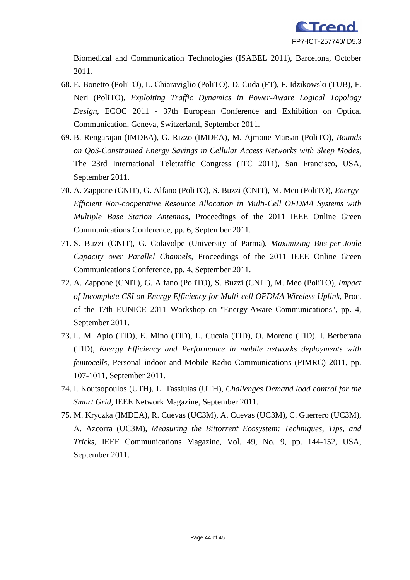Biomedical and Communication Technologies (ISABEL 2011), Barcelona, October 2011.

- 68. E. Bonetto (PoliTO), L. Chiaraviglio (PoliTO), D. Cuda (FT), F. Idzikowski (TUB), F. Neri (PoliTO), *Exploiting Traffic Dynamics in Power-Aware Logical Topology Design*, ECOC 2011 - 37th European Conference and Exhibition on Optical Communication, Geneva, Switzerland, September 2011.
- 69. B. Rengarajan (IMDEA), G. Rizzo (IMDEA), M. Ajmone Marsan (PoliTO), *Bounds on QoS-Constrained Energy Savings in Cellular Access Networks with Sleep Modes*, The 23rd International Teletraffic Congress (ITC 2011), San Francisco, USA, September 2011.
- 70. A. Zappone (CNIT), G. Alfano (PoliTO), S. Buzzi (CNIT), M. Meo (PoliTO), *Energy-Efficient Non-cooperative Resource Allocation in Multi-Cell OFDMA Systems with Multiple Base Station Antennas*, Proceedings of the 2011 IEEE Online Green Communications Conference, pp. 6, September 2011.
- 71. S. Buzzi (CNIT), G. Colavolpe (University of Parma), *Maximizing Bits-per-Joule Capacity over Parallel Channels*, Proceedings of the 2011 IEEE Online Green Communications Conference, pp. 4, September 2011.
- 72. A. Zappone (CNIT), G. Alfano (PoliTO), S. Buzzi (CNIT), M. Meo (PoliTO), *Impact of Incomplete CSI on Energy Efficiency for Multi-cell OFDMA Wireless Uplink*, Proc. of the 17th EUNICE 2011 Workshop on "Energy-Aware Communications", pp. 4, September 2011.
- 73. L. M. Apio (TID), E. Mino (TID), L. Cucala (TID), O. Moreno (TID), I. Berberana (TID), *Energy Efficiency and Performance in mobile networks deployments with femtocells*, Personal indoor and Mobile Radio Communications (PIMRC) 2011, pp. 107-1011, September 2011.
- 74. I. Koutsopoulos (UTH), L. Tassiulas (UTH), *Challenges Demand load control for the Smart Grid*, IEEE Network Magazine, September 2011.
- 75. M. Kryczka (IMDEA), R. Cuevas (UC3M), A. Cuevas (UC3M), C. Guerrero (UC3M), A. Azcorra (UC3M), *Measuring the Bittorrent Ecosystem: Techniques, Tips, and Tricks*, IEEE Communications Magazine, Vol. 49, No. 9, pp. 144-152, USA, September 2011.